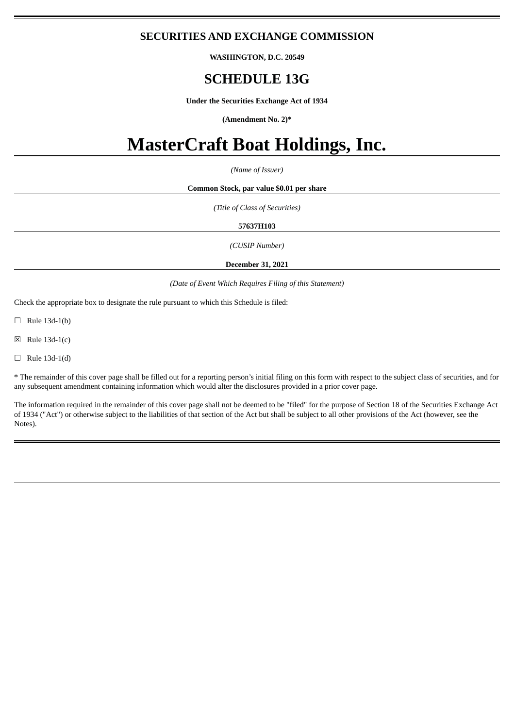# **SECURITIES AND EXCHANGE COMMISSION**

**WASHINGTON, D.C. 20549**

# **SCHEDULE 13G**

**Under the Securities Exchange Act of 1934**

**(Amendment No. 2)\***

# **MasterCraft Boat Holdings, Inc.**

*(Name of Issuer)*

#### **Common Stock, par value \$0.01 per share**

*(Title of Class of Securities)*

#### **57637H103**

*(CUSIP Number)*

**December 31, 2021**

#### *(Date of Event Which Requires Filing of this Statement)*

Check the appropriate box to designate the rule pursuant to which this Schedule is filed:

 $\Box$  Rule 13d-1(b)

 $\boxtimes$  Rule 13d-1(c)

 $\Box$  Rule 13d-1(d)

\* The remainder of this cover page shall be filled out for a reporting person's initial filing on this form with respect to the subject class of securities, and for any subsequent amendment containing information which would alter the disclosures provided in a prior cover page.

The information required in the remainder of this cover page shall not be deemed to be "filed" for the purpose of Section 18 of the Securities Exchange Act of 1934 ("Act") or otherwise subject to the liabilities of that section of the Act but shall be subject to all other provisions of the Act (however, see the Notes).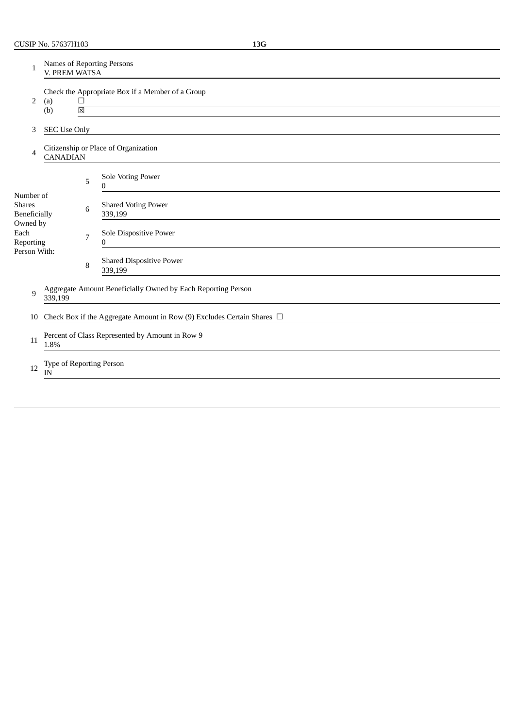| 1                                          | Names of Reporting Persons<br>V. PREM WATSA                                                                                                    |                     |                                                                             |  |  |  |
|--------------------------------------------|------------------------------------------------------------------------------------------------------------------------------------------------|---------------------|-----------------------------------------------------------------------------|--|--|--|
| 2                                          | Check the Appropriate Box if a Member of a Group<br>$\Box$<br>(a)<br><u> 1989 - Johann Stein, mars an deutscher Stein († 1989)</u><br>(b)<br>区 |                     |                                                                             |  |  |  |
| 3                                          |                                                                                                                                                | <b>SEC Use Only</b> |                                                                             |  |  |  |
| 4                                          |                                                                                                                                                | <b>CANADIAN</b>     | Citizenship or Place of Organization                                        |  |  |  |
|                                            |                                                                                                                                                | 5                   | Sole Voting Power<br>0                                                      |  |  |  |
| Number of<br><b>Shares</b><br>Beneficially |                                                                                                                                                | 6                   | <b>Shared Voting Power</b><br>339,199                                       |  |  |  |
| Owned by<br>Each<br>Reporting              |                                                                                                                                                | 7                   | Sole Dispositive Power<br>0                                                 |  |  |  |
| Person With:                               |                                                                                                                                                | 8                   | <b>Shared Dispositive Power</b><br>339,199                                  |  |  |  |
| 9                                          | Aggregate Amount Beneficially Owned by Each Reporting Person<br>339,199                                                                        |                     |                                                                             |  |  |  |
| 10                                         |                                                                                                                                                |                     | Check Box if the Aggregate Amount in Row (9) Excludes Certain Shares $\Box$ |  |  |  |
| 11                                         | Percent of Class Represented by Amount in Row 9<br>1.8%                                                                                        |                     |                                                                             |  |  |  |
| 12                                         | Type of Reporting Person<br>IN                                                                                                                 |                     |                                                                             |  |  |  |
|                                            |                                                                                                                                                |                     |                                                                             |  |  |  |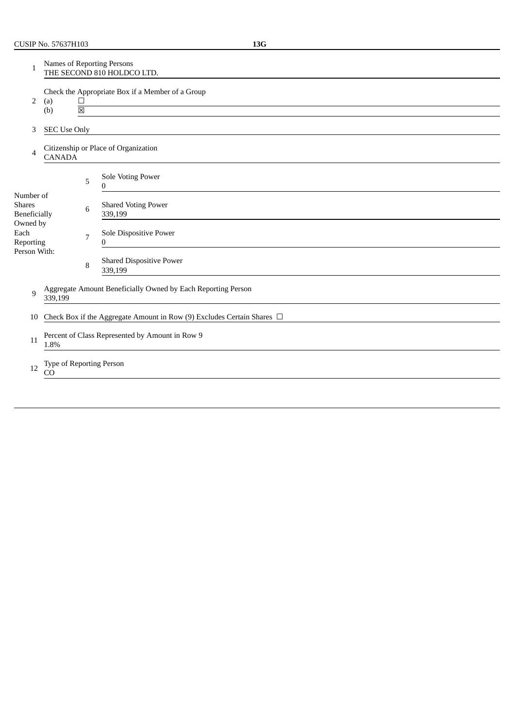| 1                                                 | <b>Names of Reporting Persons</b><br>THE SECOND 810 HOLDCO LTD.         |             |                                                                                                               |  |  |  |  |
|---------------------------------------------------|-------------------------------------------------------------------------|-------------|---------------------------------------------------------------------------------------------------------------|--|--|--|--|
| 2                                                 | (a)<br>(b)                                                              | $\Box$<br>区 | Check the Appropriate Box if a Member of a Group<br><u> 1980 - Johann Barnett, fransk politiker (d. 1980)</u> |  |  |  |  |
| 3                                                 | <b>SEC Use Only</b>                                                     |             |                                                                                                               |  |  |  |  |
| 4                                                 | <b>CANADA</b>                                                           |             | Citizenship or Place of Organization                                                                          |  |  |  |  |
|                                                   |                                                                         | 5           | <b>Sole Voting Power</b><br>0                                                                                 |  |  |  |  |
| Number of<br><b>Shares</b><br><b>Beneficially</b> |                                                                         | 6           | <b>Shared Voting Power</b><br>339,199                                                                         |  |  |  |  |
| Owned by<br>Each<br>Reporting                     |                                                                         | 7           | Sole Dispositive Power<br>0                                                                                   |  |  |  |  |
| Person With:                                      |                                                                         | 8           | <b>Shared Dispositive Power</b><br>339,199                                                                    |  |  |  |  |
| 9                                                 | Aggregate Amount Beneficially Owned by Each Reporting Person<br>339,199 |             |                                                                                                               |  |  |  |  |
| 10                                                |                                                                         |             | Check Box if the Aggregate Amount in Row (9) Excludes Certain Shares $\Box$                                   |  |  |  |  |
| 11                                                | Percent of Class Represented by Amount in Row 9<br>1.8%                 |             |                                                                                                               |  |  |  |  |
| 12                                                | Type of Reporting Person<br>CO                                          |             |                                                                                                               |  |  |  |  |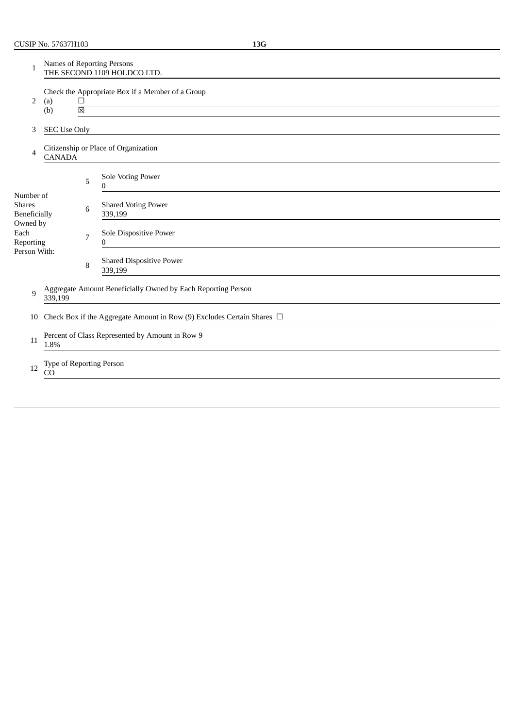| 1                                                 | Names of Reporting Persons<br>THE SECOND 1109 HOLDCO LTD.               |                                   |                                                                             |  |  |  |
|---------------------------------------------------|-------------------------------------------------------------------------|-----------------------------------|-----------------------------------------------------------------------------|--|--|--|
| 2                                                 | (a)<br>(b)                                                              | $\Box$<br>$\overline{\mathbb{X}}$ | Check the Appropriate Box if a Member of a Group                            |  |  |  |
|                                                   |                                                                         |                                   |                                                                             |  |  |  |
| 3                                                 | <b>SEC Use Only</b>                                                     |                                   |                                                                             |  |  |  |
| 4                                                 | <b>CANADA</b>                                                           |                                   | Citizenship or Place of Organization                                        |  |  |  |
|                                                   |                                                                         | 5                                 | Sole Voting Power<br>0                                                      |  |  |  |
| Number of<br><b>Shares</b><br><b>Beneficially</b> |                                                                         | 6                                 | <b>Shared Voting Power</b><br>339,199                                       |  |  |  |
| Owned by<br>Each<br>Reporting                     |                                                                         | 7                                 | Sole Dispositive Power<br>$\Omega$                                          |  |  |  |
| Person With:                                      |                                                                         | 8                                 | <b>Shared Dispositive Power</b><br>339,199                                  |  |  |  |
| 9                                                 | Aggregate Amount Beneficially Owned by Each Reporting Person<br>339,199 |                                   |                                                                             |  |  |  |
| 10                                                |                                                                         |                                   | Check Box if the Aggregate Amount in Row (9) Excludes Certain Shares $\Box$ |  |  |  |
| 11                                                | Percent of Class Represented by Amount in Row 9<br>1.8%                 |                                   |                                                                             |  |  |  |
| 12                                                | Type of Reporting Person<br>CO                                          |                                   |                                                                             |  |  |  |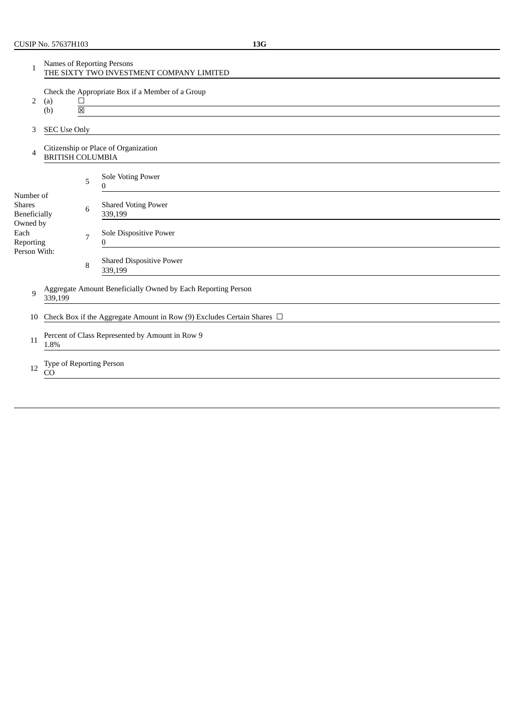| 1                                                 | Names of Reporting Persons<br>THE SIXTY TWO INVESTMENT COMPANY LIMITED                              |                |                                            |  |  |  |
|---------------------------------------------------|-----------------------------------------------------------------------------------------------------|----------------|--------------------------------------------|--|--|--|
| 2                                                 | Check the Appropriate Box if a Member of a Group<br>$\Box$<br>(a)<br>(b)<br>$\overline{\mathbb{Z}}$ |                |                                            |  |  |  |
| 3                                                 | <b>SEC Use Only</b>                                                                                 |                |                                            |  |  |  |
| 4                                                 | <b>BRITISH COLUMBIA</b>                                                                             |                | Citizenship or Place of Organization       |  |  |  |
|                                                   |                                                                                                     | 5              | Sole Voting Power<br>0                     |  |  |  |
| Number of<br><b>Shares</b><br><b>Beneficially</b> |                                                                                                     | 6              | <b>Shared Voting Power</b><br>339,199      |  |  |  |
| Owned by<br>Each<br>Reporting                     |                                                                                                     | $\overline{7}$ | Sole Dispositive Power<br>$\Omega$         |  |  |  |
| Person With:                                      |                                                                                                     | 8              | <b>Shared Dispositive Power</b><br>339,199 |  |  |  |
| 9                                                 | Aggregate Amount Beneficially Owned by Each Reporting Person<br>339,199                             |                |                                            |  |  |  |
| 10                                                | Check Box if the Aggregate Amount in Row (9) Excludes Certain Shares $\Box$                         |                |                                            |  |  |  |
| 11                                                | Percent of Class Represented by Amount in Row 9<br>1.8%                                             |                |                                            |  |  |  |
| 12                                                | Type of Reporting Person<br><sub>CO</sub>                                                           |                |                                            |  |  |  |
|                                                   |                                                                                                     |                |                                            |  |  |  |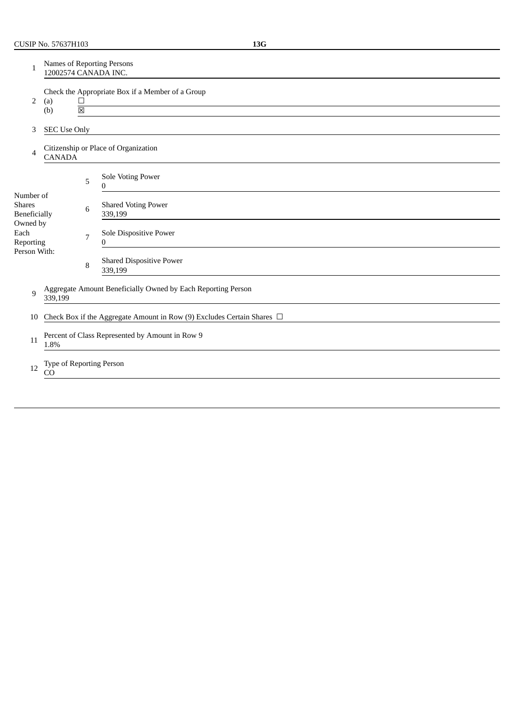| 1                                          | <b>Names of Reporting Persons</b><br>12002574 CANADA INC.                                          |   |                                                                             |  |  |  |  |
|--------------------------------------------|----------------------------------------------------------------------------------------------------|---|-----------------------------------------------------------------------------|--|--|--|--|
| 2                                          | Check the Appropriate Box if a Member of a Group<br>(a)<br>$\Box$<br>$\overline{\boxtimes}$<br>(b) |   |                                                                             |  |  |  |  |
| 3                                          | <b>SEC Use Only</b>                                                                                |   |                                                                             |  |  |  |  |
| 4                                          | <b>CANADA</b>                                                                                      |   | Citizenship or Place of Organization                                        |  |  |  |  |
|                                            |                                                                                                    | 5 | Sole Voting Power<br>0                                                      |  |  |  |  |
| Number of<br><b>Shares</b><br>Beneficially |                                                                                                    | 6 | <b>Shared Voting Power</b><br>339,199                                       |  |  |  |  |
| Owned by<br>Each<br>Reporting              |                                                                                                    | 7 | Sole Dispositive Power<br>0                                                 |  |  |  |  |
| Person With:                               |                                                                                                    | 8 | <b>Shared Dispositive Power</b><br>339,199                                  |  |  |  |  |
| 9                                          | Aggregate Amount Beneficially Owned by Each Reporting Person<br>339,199                            |   |                                                                             |  |  |  |  |
| 10                                         |                                                                                                    |   | Check Box if the Aggregate Amount in Row (9) Excludes Certain Shares $\Box$ |  |  |  |  |
| 11                                         | Percent of Class Represented by Amount in Row 9<br>1.8%                                            |   |                                                                             |  |  |  |  |
| 12                                         | Type of Reporting Person<br>CO                                                                     |   |                                                                             |  |  |  |  |
|                                            |                                                                                                    |   |                                                                             |  |  |  |  |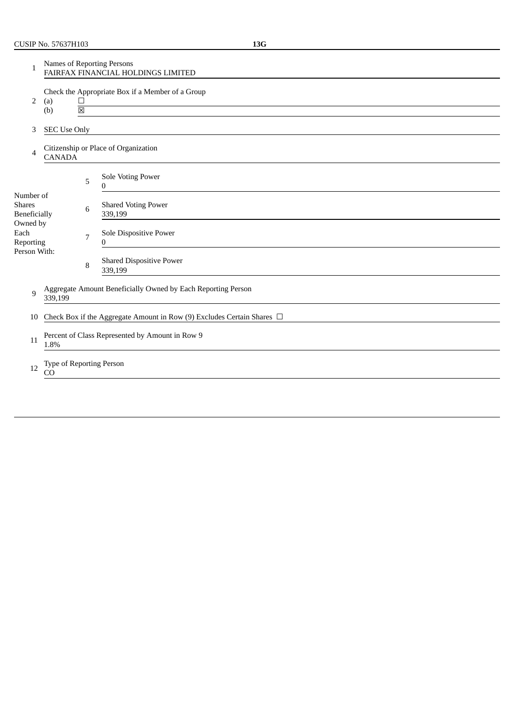| 1                                          | Names of Reporting Persons<br>FAIRFAX FINANCIAL HOLDINGS LIMITED            |                                  |                                                  |  |  |  |
|--------------------------------------------|-----------------------------------------------------------------------------|----------------------------------|--------------------------------------------------|--|--|--|
| 2                                          | (a)<br>(b)                                                                  | $\Box$<br>$\overline{\boxtimes}$ | Check the Appropriate Box if a Member of a Group |  |  |  |
| 3                                          | <b>SEC Use Only</b>                                                         |                                  |                                                  |  |  |  |
| 4                                          | <b>CANADA</b>                                                               |                                  | Citizenship or Place of Organization             |  |  |  |
|                                            |                                                                             | 5                                | Sole Voting Power<br>0                           |  |  |  |
| Number of<br><b>Shares</b><br>Beneficially |                                                                             | 6                                | <b>Shared Voting Power</b><br>339,199            |  |  |  |
| Owned by<br>Each<br>Reporting              |                                                                             | 7                                | Sole Dispositive Power<br>0                      |  |  |  |
| Person With:                               |                                                                             | 8                                | <b>Shared Dispositive Power</b><br>339,199       |  |  |  |
| 9                                          | Aggregate Amount Beneficially Owned by Each Reporting Person<br>339,199     |                                  |                                                  |  |  |  |
| 10                                         | Check Box if the Aggregate Amount in Row (9) Excludes Certain Shares $\Box$ |                                  |                                                  |  |  |  |
| 11                                         | Percent of Class Represented by Amount in Row 9<br>1.8%                     |                                  |                                                  |  |  |  |
| 12                                         | Type of Reporting Person<br>CO                                              |                                  |                                                  |  |  |  |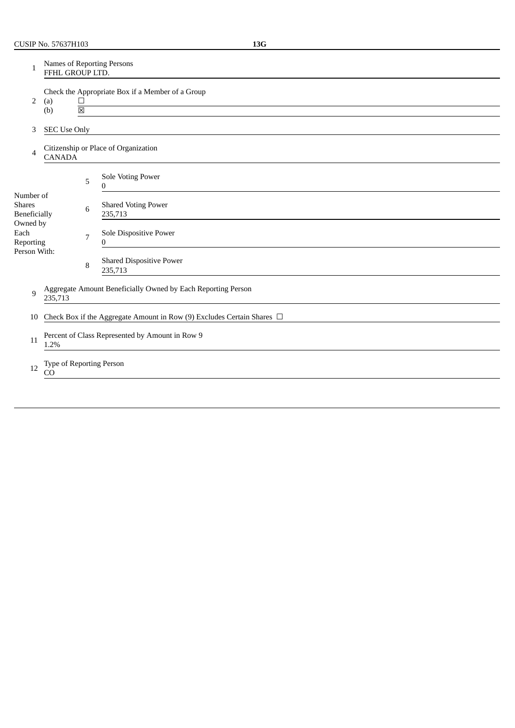| 1                                          | Names of Reporting Persons<br>FFHL GROUP LTD.                                 |   |                                            |  |  |  |
|--------------------------------------------|-------------------------------------------------------------------------------|---|--------------------------------------------|--|--|--|
| 2                                          | Check the Appropriate Box if a Member of a Group<br>$\Box$<br>(a)<br>(b)<br>冈 |   |                                            |  |  |  |
| 3                                          | <b>SEC Use Only</b>                                                           |   |                                            |  |  |  |
| 4                                          | <b>CANADA</b>                                                                 |   | Citizenship or Place of Organization       |  |  |  |
|                                            |                                                                               | 5 | Sole Voting Power<br>0                     |  |  |  |
| Number of<br><b>Shares</b><br>Beneficially |                                                                               | 6 | <b>Shared Voting Power</b><br>235,713      |  |  |  |
| Owned by<br>Each<br>Reporting              |                                                                               | 7 | Sole Dispositive Power<br>0                |  |  |  |
| Person With:                               |                                                                               | 8 | <b>Shared Dispositive Power</b><br>235,713 |  |  |  |
| 9                                          | Aggregate Amount Beneficially Owned by Each Reporting Person<br>235,713       |   |                                            |  |  |  |
| 10                                         | Check Box if the Aggregate Amount in Row (9) Excludes Certain Shares $\Box$   |   |                                            |  |  |  |
| 11                                         | Percent of Class Represented by Amount in Row 9<br>1.2%                       |   |                                            |  |  |  |
| 12                                         | Type of Reporting Person<br><sub>CO</sub>                                     |   |                                            |  |  |  |
|                                            |                                                                               |   |                                            |  |  |  |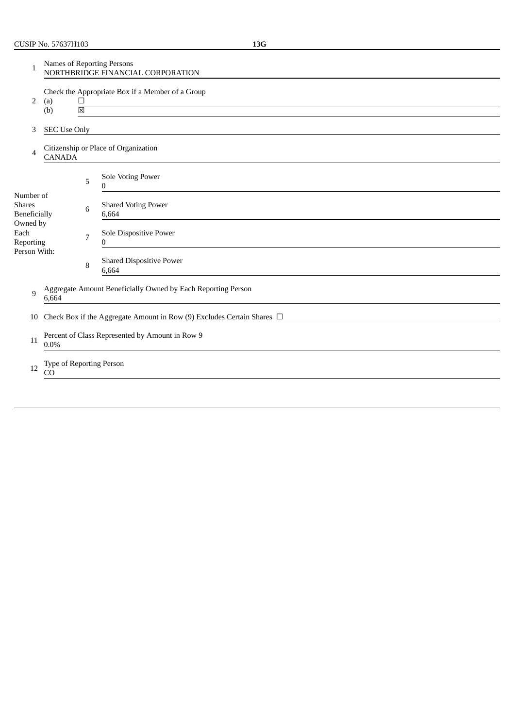| $\mathbf{1}$                               | <b>Names of Reporting Persons</b><br>NORTHBRIDGE FINANCIAL CORPORATION                                                                                                                           |   |                                                                             |  |  |  |
|--------------------------------------------|--------------------------------------------------------------------------------------------------------------------------------------------------------------------------------------------------|---|-----------------------------------------------------------------------------|--|--|--|
| 2                                          | Check the Appropriate Box if a Member of a Group<br>(a)<br>$\Box$<br>the control of the control of the control of the control of the control of the control of<br>$\overline{\mathbb{X}}$<br>(b) |   |                                                                             |  |  |  |
| 3                                          | <b>SEC Use Only</b>                                                                                                                                                                              |   |                                                                             |  |  |  |
| 4                                          | <b>CANADA</b>                                                                                                                                                                                    |   | Citizenship or Place of Organization                                        |  |  |  |
|                                            |                                                                                                                                                                                                  | 5 | Sole Voting Power<br>0                                                      |  |  |  |
| Number of<br><b>Shares</b><br>Beneficially |                                                                                                                                                                                                  | 6 | <b>Shared Voting Power</b><br>6,664                                         |  |  |  |
| Owned by<br>Each<br>Reporting              |                                                                                                                                                                                                  | 7 | Sole Dispositive Power<br>0                                                 |  |  |  |
| Person With:                               |                                                                                                                                                                                                  | 8 | <b>Shared Dispositive Power</b><br>6,664                                    |  |  |  |
| 9                                          | Aggregate Amount Beneficially Owned by Each Reporting Person<br>6,664                                                                                                                            |   |                                                                             |  |  |  |
| 10                                         |                                                                                                                                                                                                  |   | Check Box if the Aggregate Amount in Row (9) Excludes Certain Shares $\Box$ |  |  |  |
| 11                                         | Percent of Class Represented by Amount in Row 9<br>$0.0\%$                                                                                                                                       |   |                                                                             |  |  |  |
| 12                                         | Type of Reporting Person<br>CO                                                                                                                                                                   |   |                                                                             |  |  |  |
|                                            |                                                                                                                                                                                                  |   |                                                                             |  |  |  |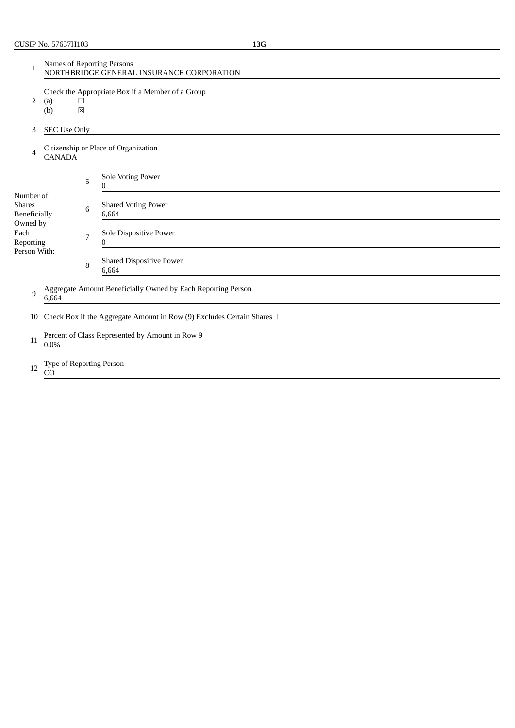| 1                                                 | Names of Reporting Persons<br>NORTHBRIDGE GENERAL INSURANCE CORPORATION     |                                                            |                                          |  |  |  |  |
|---------------------------------------------------|-----------------------------------------------------------------------------|------------------------------------------------------------|------------------------------------------|--|--|--|--|
| 2                                                 | (a)                                                                         | Check the Appropriate Box if a Member of a Group<br>$\Box$ |                                          |  |  |  |  |
|                                                   | (b)                                                                         | $\boxtimes$                                                |                                          |  |  |  |  |
| 3                                                 | <b>SEC Use Only</b>                                                         |                                                            |                                          |  |  |  |  |
| 4                                                 | <b>CANADA</b>                                                               |                                                            | Citizenship or Place of Organization     |  |  |  |  |
|                                                   |                                                                             | 5                                                          | Sole Voting Power<br>0                   |  |  |  |  |
| Number of<br><b>Shares</b><br><b>Beneficially</b> |                                                                             | 6                                                          | <b>Shared Voting Power</b><br>6,664      |  |  |  |  |
| Owned by<br>Each<br>Reporting                     |                                                                             | 7                                                          | Sole Dispositive Power<br>0              |  |  |  |  |
| Person With:                                      |                                                                             | 8                                                          | <b>Shared Dispositive Power</b><br>6,664 |  |  |  |  |
| 9                                                 | Aggregate Amount Beneficially Owned by Each Reporting Person<br>6,664       |                                                            |                                          |  |  |  |  |
| 10                                                | Check Box if the Aggregate Amount in Row (9) Excludes Certain Shares $\Box$ |                                                            |                                          |  |  |  |  |
| 11                                                | Percent of Class Represented by Amount in Row 9<br>$0.0\%$                  |                                                            |                                          |  |  |  |  |
| 12                                                | Type of Reporting Person<br>CO                                              |                                                            |                                          |  |  |  |  |
|                                                   |                                                                             |                                                            |                                          |  |  |  |  |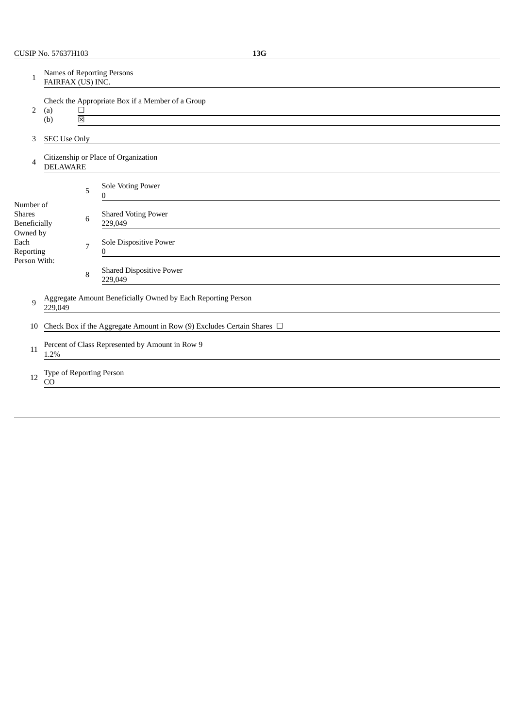| Names of Reporting Persons<br>FAIRFAX (US) INC.                                         |                                                 |   |                                                                             |  |  |  |
|-----------------------------------------------------------------------------------------|-------------------------------------------------|---|-----------------------------------------------------------------------------|--|--|--|
| Check the Appropriate Box if a Member of a Group<br>2<br>(a)<br>$\Box$                  |                                                 |   |                                                                             |  |  |  |
|                                                                                         |                                                 |   |                                                                             |  |  |  |
|                                                                                         |                                                 |   | Citizenship or Place of Organization                                        |  |  |  |
|                                                                                         |                                                 | 5 | Sole Voting Power<br>0                                                      |  |  |  |
|                                                                                         |                                                 | 6 | <b>Shared Voting Power</b><br>229,049                                       |  |  |  |
| Owned by<br>Reporting<br>Person With:                                                   |                                                 | 7 | Sole Dispositive Power<br>0                                                 |  |  |  |
|                                                                                         |                                                 | 8 | <b>Shared Dispositive Power</b><br>229,049                                  |  |  |  |
| Aggregate Amount Beneficially Owned by Each Reporting Person<br>$\mathbf{q}$<br>229,049 |                                                 |   |                                                                             |  |  |  |
|                                                                                         |                                                 |   | Check Box if the Aggregate Amount in Row (9) Excludes Certain Shares $\Box$ |  |  |  |
| Percent of Class Represented by Amount in Row 9<br>11                                   |                                                 |   |                                                                             |  |  |  |
| Type of Reporting Person<br>12<br>CO                                                    |                                                 |   |                                                                             |  |  |  |
|                                                                                         | (b)<br>Number of<br><b>Beneficially</b><br>1.2% |   | $\boxtimes$<br><b>SEC Use Only</b><br><b>DELAWARE</b>                       |  |  |  |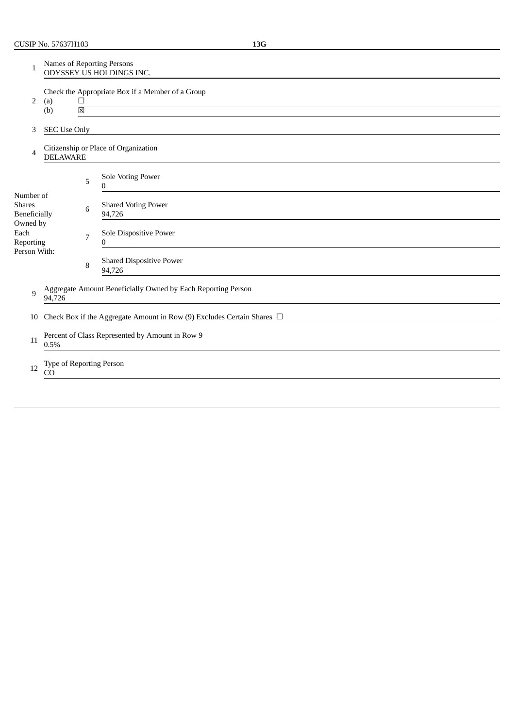| 1                                                 | Names of Reporting Persons<br>ODYSSEY US HOLDINGS INC.                 |                                                                 |   |                                                                             |  |  |  |
|---------------------------------------------------|------------------------------------------------------------------------|-----------------------------------------------------------------|---|-----------------------------------------------------------------------------|--|--|--|
| 2                                                 | (a)<br>(b)                                                             | Check the Appropriate Box if a Member of a Group<br>$\Box$<br>区 |   |                                                                             |  |  |  |
| 3                                                 |                                                                        | <b>SEC Use Only</b>                                             |   |                                                                             |  |  |  |
| 4                                                 |                                                                        | <b>DELAWARE</b>                                                 |   | Citizenship or Place of Organization                                        |  |  |  |
|                                                   |                                                                        |                                                                 | 5 | Sole Voting Power<br>$\Omega$                                               |  |  |  |
| Number of<br><b>Shares</b><br><b>Beneficially</b> |                                                                        |                                                                 | 6 | <b>Shared Voting Power</b><br>94,726                                        |  |  |  |
| Owned by<br>Each<br>Reporting                     |                                                                        |                                                                 | 7 | Sole Dispositive Power<br>0                                                 |  |  |  |
| Person With:                                      |                                                                        |                                                                 | 8 | <b>Shared Dispositive Power</b><br>94,726                                   |  |  |  |
| 9                                                 | Aggregate Amount Beneficially Owned by Each Reporting Person<br>94,726 |                                                                 |   |                                                                             |  |  |  |
| 10                                                |                                                                        |                                                                 |   | Check Box if the Aggregate Amount in Row (9) Excludes Certain Shares $\Box$ |  |  |  |
| 11                                                | Percent of Class Represented by Amount in Row 9<br>0.5%                |                                                                 |   |                                                                             |  |  |  |
| 12                                                | Type of Reporting Person<br>CO                                         |                                                                 |   |                                                                             |  |  |  |
|                                                   |                                                                        |                                                                 |   |                                                                             |  |  |  |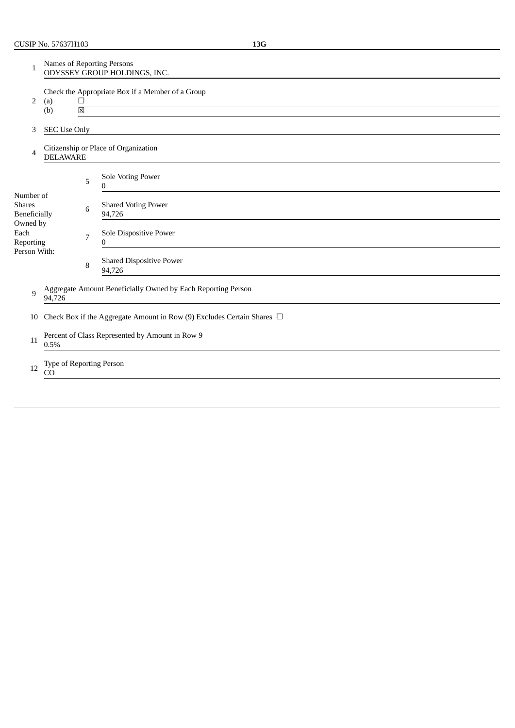| 1                                                 | Names of Reporting Persons<br>ODYSSEY GROUP HOLDINGS, INC.             |                                                                                      |                                                                             |  |  |  |  |
|---------------------------------------------------|------------------------------------------------------------------------|--------------------------------------------------------------------------------------|-----------------------------------------------------------------------------|--|--|--|--|
| 2                                                 | (a)<br>(b)                                                             | Check the Appropriate Box if a Member of a Group<br>$\Box$<br>$\overline{\boxtimes}$ |                                                                             |  |  |  |  |
| 3                                                 | <b>SEC Use Only</b>                                                    |                                                                                      |                                                                             |  |  |  |  |
| 4                                                 | <b>DELAWARE</b>                                                        |                                                                                      | Citizenship or Place of Organization                                        |  |  |  |  |
|                                                   |                                                                        | 5                                                                                    | Sole Voting Power<br>0                                                      |  |  |  |  |
| Number of<br><b>Shares</b><br><b>Beneficially</b> |                                                                        | 6                                                                                    | <b>Shared Voting Power</b><br>94,726                                        |  |  |  |  |
| Owned by<br>Each<br>Reporting                     |                                                                        | 7                                                                                    | Sole Dispositive Power<br>$\Omega$                                          |  |  |  |  |
| Person With:                                      |                                                                        | 8                                                                                    | <b>Shared Dispositive Power</b><br>94,726                                   |  |  |  |  |
| 9                                                 | Aggregate Amount Beneficially Owned by Each Reporting Person<br>94,726 |                                                                                      |                                                                             |  |  |  |  |
| 10                                                |                                                                        |                                                                                      | Check Box if the Aggregate Amount in Row (9) Excludes Certain Shares $\Box$ |  |  |  |  |
| 11                                                | Percent of Class Represented by Amount in Row 9<br>0.5%                |                                                                                      |                                                                             |  |  |  |  |
| 12                                                | Type of Reporting Person<br>CO                                         |                                                                                      |                                                                             |  |  |  |  |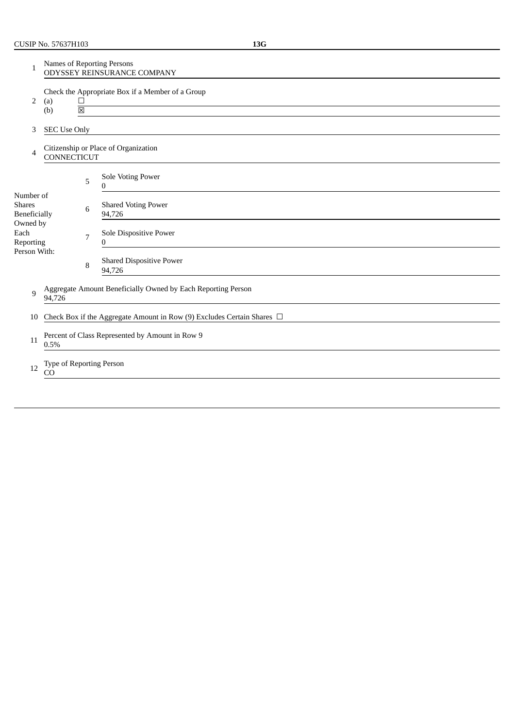| 1                                                 | Names of Reporting Persons<br>ODYSSEY REINSURANCE COMPANY                                     |   |                                           |  |  |  |  |
|---------------------------------------------------|-----------------------------------------------------------------------------------------------|---|-------------------------------------------|--|--|--|--|
| 2                                                 | Check the Appropriate Box if a Member of a Group<br>(a)<br>⊔<br>$\overline{\boxtimes}$<br>(b) |   |                                           |  |  |  |  |
| 3                                                 | <b>SEC Use Only</b>                                                                           |   |                                           |  |  |  |  |
| 4                                                 | CONNECTICUT                                                                                   |   | Citizenship or Place of Organization      |  |  |  |  |
|                                                   |                                                                                               | 5 | Sole Voting Power<br>0                    |  |  |  |  |
| Number of<br><b>Shares</b><br><b>Beneficially</b> |                                                                                               | 6 | <b>Shared Voting Power</b><br>94,726      |  |  |  |  |
| Owned by<br>Each<br>Reporting                     |                                                                                               | 7 | Sole Dispositive Power<br>0               |  |  |  |  |
| Person With:                                      |                                                                                               | 8 | <b>Shared Dispositive Power</b><br>94,726 |  |  |  |  |
| 9                                                 | Aggregate Amount Beneficially Owned by Each Reporting Person<br>94,726                        |   |                                           |  |  |  |  |
| 10                                                | Check Box if the Aggregate Amount in Row (9) Excludes Certain Shares $\Box$                   |   |                                           |  |  |  |  |
| 11                                                | Percent of Class Represented by Amount in Row 9<br>0.5%                                       |   |                                           |  |  |  |  |
| 12                                                | Type of Reporting Person<br>CO                                                                |   |                                           |  |  |  |  |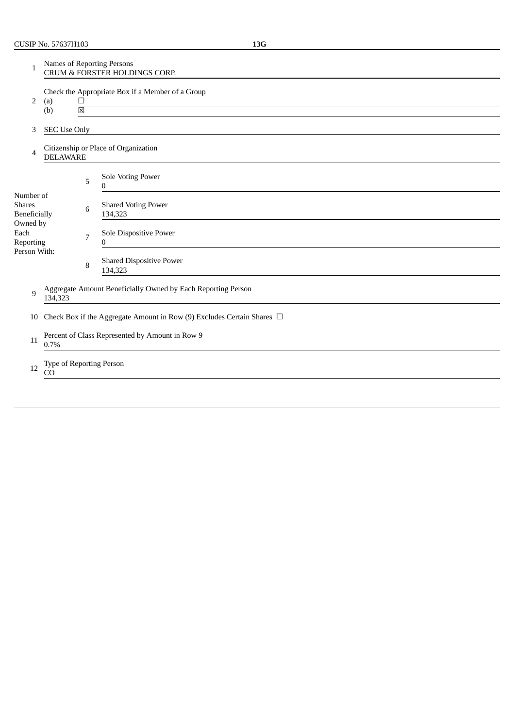| 1                                                 | <b>Names of Reporting Persons</b><br><b>CRUM &amp; FORSTER HOLDINGS CORP.</b>                                                                          |   |                                            |  |  |  |
|---------------------------------------------------|--------------------------------------------------------------------------------------------------------------------------------------------------------|---|--------------------------------------------|--|--|--|
| 2                                                 | Check the Appropriate Box if a Member of a Group<br>(a)<br>$\Box$<br><u> 1980 - Jan Sterner, amerikansk politik (</u><br>$\overline{\boxtimes}$<br>(b) |   |                                            |  |  |  |
| 3                                                 | <b>SEC Use Only</b>                                                                                                                                    |   |                                            |  |  |  |
| 4                                                 | <b>DELAWARE</b>                                                                                                                                        |   | Citizenship or Place of Organization       |  |  |  |
|                                                   |                                                                                                                                                        | 5 | Sole Voting Power<br>0                     |  |  |  |
| Number of<br><b>Shares</b><br><b>Beneficially</b> |                                                                                                                                                        | 6 | <b>Shared Voting Power</b><br>134,323      |  |  |  |
| Owned by<br>Each<br>Reporting                     |                                                                                                                                                        | 7 | Sole Dispositive Power<br>$\mathbf{0}$     |  |  |  |
| Person With:                                      |                                                                                                                                                        | 8 | <b>Shared Dispositive Power</b><br>134,323 |  |  |  |
| 9                                                 | Aggregate Amount Beneficially Owned by Each Reporting Person<br>134,323                                                                                |   |                                            |  |  |  |
| 10                                                | Check Box if the Aggregate Amount in Row (9) Excludes Certain Shares $\Box$                                                                            |   |                                            |  |  |  |
| 11                                                | Percent of Class Represented by Amount in Row 9<br>0.7%                                                                                                |   |                                            |  |  |  |
| 12                                                | Type of Reporting Person<br>CO                                                                                                                         |   |                                            |  |  |  |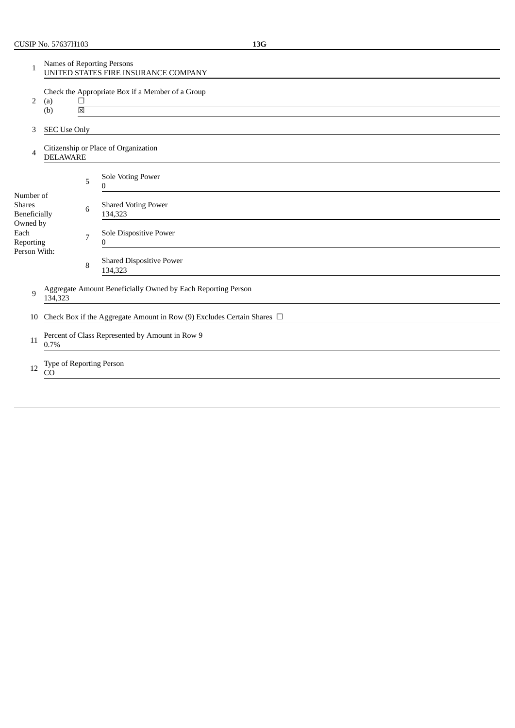| 1                                                 | Names of Reporting Persons<br>UNITED STATES FIRE INSURANCE COMPANY          |                |                                            |  |  |  |  |
|---------------------------------------------------|-----------------------------------------------------------------------------|----------------|--------------------------------------------|--|--|--|--|
| 2                                                 | Check the Appropriate Box if a Member of a Group<br>(a)<br>$\Box$           |                |                                            |  |  |  |  |
|                                                   | (b)                                                                         | 冈              |                                            |  |  |  |  |
| 3                                                 | <b>SEC Use Only</b>                                                         |                |                                            |  |  |  |  |
| 4                                                 | <b>DELAWARE</b>                                                             |                | Citizenship or Place of Organization       |  |  |  |  |
|                                                   |                                                                             | 5              | Sole Voting Power<br>0                     |  |  |  |  |
| Number of<br><b>Shares</b><br><b>Beneficially</b> |                                                                             | 6              | <b>Shared Voting Power</b><br>134,323      |  |  |  |  |
| Owned by<br>Each<br>Reporting                     |                                                                             | $\overline{7}$ | Sole Dispositive Power<br>0                |  |  |  |  |
| Person With:                                      |                                                                             | 8              | <b>Shared Dispositive Power</b><br>134,323 |  |  |  |  |
| 9                                                 | Aggregate Amount Beneficially Owned by Each Reporting Person<br>134,323     |                |                                            |  |  |  |  |
| 10                                                | Check Box if the Aggregate Amount in Row (9) Excludes Certain Shares $\Box$ |                |                                            |  |  |  |  |
| 11                                                | Percent of Class Represented by Amount in Row 9<br>0.7%                     |                |                                            |  |  |  |  |
| 12                                                | Type of Reporting Person<br>CO                                              |                |                                            |  |  |  |  |

 $\overline{\phantom{0}}$ 

L,

 $\overline{a}$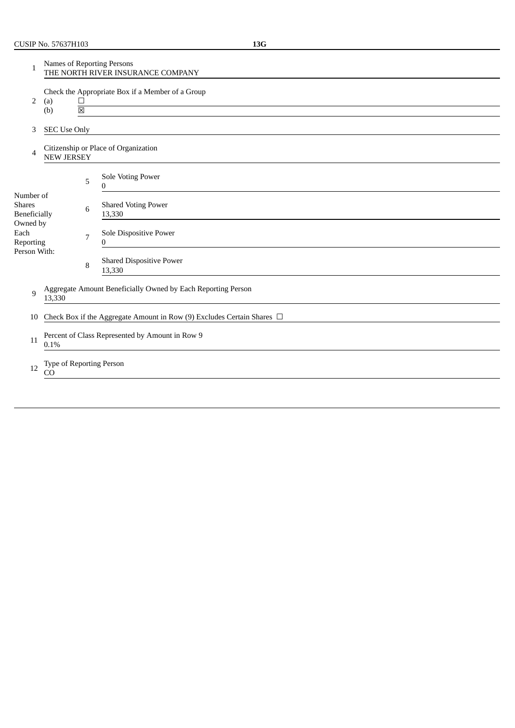| 1                                                 | <b>Names of Reporting Persons</b><br>THE NORTH RIVER INSURANCE COMPANY                        |   |                                                                             |  |  |  |
|---------------------------------------------------|-----------------------------------------------------------------------------------------------|---|-----------------------------------------------------------------------------|--|--|--|
| 2                                                 | Check the Appropriate Box if a Member of a Group<br>(a)<br>⊔<br>$\overline{\boxtimes}$<br>(b) |   |                                                                             |  |  |  |
| 3                                                 | <b>SEC Use Only</b>                                                                           |   |                                                                             |  |  |  |
| 4                                                 | <b>NEW JERSEY</b>                                                                             |   | Citizenship or Place of Organization                                        |  |  |  |
|                                                   |                                                                                               | 5 | Sole Voting Power<br>0                                                      |  |  |  |
| Number of<br><b>Shares</b><br><b>Beneficially</b> |                                                                                               | 6 | <b>Shared Voting Power</b><br>13,330                                        |  |  |  |
| Owned by<br>Each<br>Reporting<br>Person With:     |                                                                                               | 7 | Sole Dispositive Power<br>0                                                 |  |  |  |
|                                                   |                                                                                               | 8 | <b>Shared Dispositive Power</b><br>13,330                                   |  |  |  |
| 9                                                 | Aggregate Amount Beneficially Owned by Each Reporting Person<br>13,330                        |   |                                                                             |  |  |  |
| 10                                                |                                                                                               |   | Check Box if the Aggregate Amount in Row (9) Excludes Certain Shares $\Box$ |  |  |  |
| 11                                                | Percent of Class Represented by Amount in Row 9<br>0.1%                                       |   |                                                                             |  |  |  |
| 12                                                | Type of Reporting Person<br>CO                                                                |   |                                                                             |  |  |  |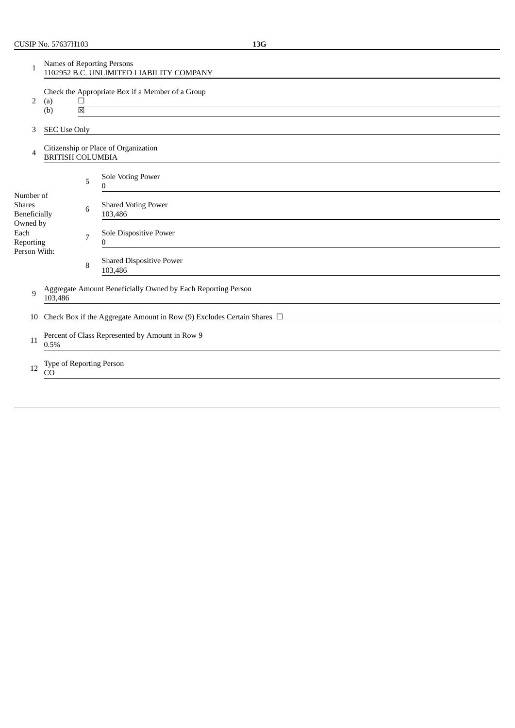| 1                                          | Names of Reporting Persons<br>1102952 B.C. UNLIMITED LIABILITY COMPANY |                                  |                                                                             |  |  |  |
|--------------------------------------------|------------------------------------------------------------------------|----------------------------------|-----------------------------------------------------------------------------|--|--|--|
| 2                                          | (a)<br>(b)                                                             | $\Box$<br>$\overline{\boxtimes}$ | Check the Appropriate Box if a Member of a Group                            |  |  |  |
|                                            |                                                                        |                                  |                                                                             |  |  |  |
| 3                                          | <b>SEC Use Only</b>                                                    |                                  |                                                                             |  |  |  |
| 4                                          | <b>BRITISH COLUMBIA</b>                                                |                                  | Citizenship or Place of Organization                                        |  |  |  |
|                                            |                                                                        | 5                                | <b>Sole Voting Power</b><br>0                                               |  |  |  |
| Number of<br><b>Shares</b><br>Beneficially |                                                                        | 6                                | <b>Shared Voting Power</b><br>103,486                                       |  |  |  |
| Owned by<br>Each<br>Reporting              |                                                                        | 7                                | Sole Dispositive Power<br>0                                                 |  |  |  |
| Person With:                               |                                                                        | 8                                | <b>Shared Dispositive Power</b><br>103,486                                  |  |  |  |
| $\mathbf{q}$                               | 103,486                                                                |                                  | Aggregate Amount Beneficially Owned by Each Reporting Person                |  |  |  |
| 10                                         |                                                                        |                                  | Check Box if the Aggregate Amount in Row (9) Excludes Certain Shares $\Box$ |  |  |  |
| 11                                         | Percent of Class Represented by Amount in Row 9<br>0.5%                |                                  |                                                                             |  |  |  |
| 12                                         | Type of Reporting Person<br>CO                                         |                                  |                                                                             |  |  |  |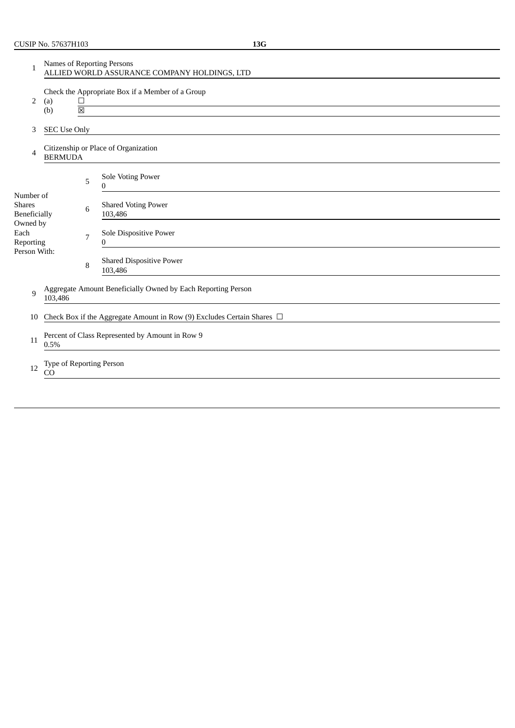Reporting Person With:

| 1                                          | Names of Reporting Persons<br>ALLIED WORLD ASSURANCE COMPANY HOLDINGS, LTD |                |                                                  |  |  |  |
|--------------------------------------------|----------------------------------------------------------------------------|----------------|--------------------------------------------------|--|--|--|
| 2                                          | (a)<br>(b)                                                                 | 冈              | Check the Appropriate Box if a Member of a Group |  |  |  |
| 3                                          | <b>SEC Use Only</b>                                                        |                |                                                  |  |  |  |
| 4                                          | <b>BERMUDA</b>                                                             |                | Citizenship or Place of Organization             |  |  |  |
|                                            |                                                                            | 5              | Sole Voting Power<br>0                           |  |  |  |
| Number of<br><b>Shares</b><br>Beneficially |                                                                            | 6              | <b>Shared Voting Power</b><br>103,486            |  |  |  |
| Owned by<br>Each                           |                                                                            | $\overline{7}$ | Sole Dispositive Power<br>$\sim$                 |  |  |  |

8 Shared Dispositive Power 103,486

0

9 Aggregate Amount Beneficially Owned by Each Reporting Person 103,486

10 Check Box if the Aggregate Amount in Row (9) Excludes Certain Shares □

- 11 Percent of Class Represented by Amount in Row 9 0.5%
- 12 Type of Reporting Person CO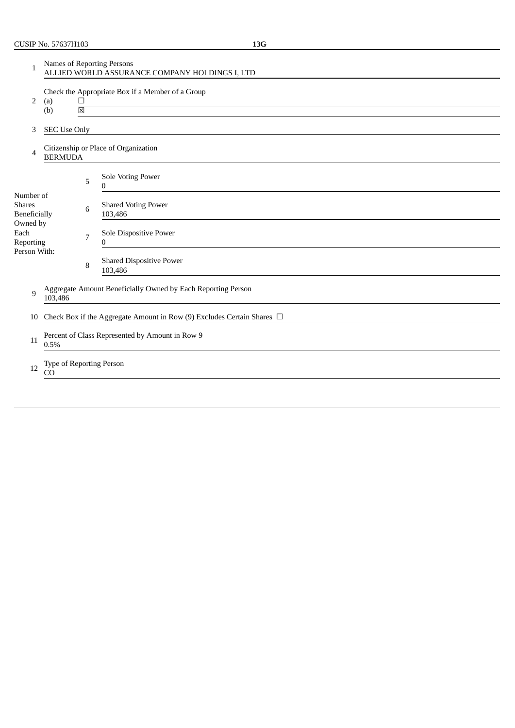| 1                                          | Names of Reporting Persons<br>ALLIED WORLD ASSURANCE COMPANY HOLDINGS I, LTD                                                                                                                    |                |                                                                             |  |  |  |
|--------------------------------------------|-------------------------------------------------------------------------------------------------------------------------------------------------------------------------------------------------|----------------|-----------------------------------------------------------------------------|--|--|--|
| 2                                          | Check the Appropriate Box if a Member of a Group<br>(a)<br>$\Box$<br>the control of the control of the control of the control of the control of the control of<br>$\overline{\boxtimes}$<br>(b) |                |                                                                             |  |  |  |
| 3                                          | <b>SEC Use Only</b>                                                                                                                                                                             |                |                                                                             |  |  |  |
| 4                                          | <b>BERMUDA</b>                                                                                                                                                                                  |                | Citizenship or Place of Organization                                        |  |  |  |
|                                            |                                                                                                                                                                                                 | 5              | Sole Voting Power<br>$\Omega$                                               |  |  |  |
| Number of<br><b>Shares</b><br>Beneficially |                                                                                                                                                                                                 | 6              | <b>Shared Voting Power</b><br>103,486                                       |  |  |  |
| Owned by<br>Each<br>Reporting              |                                                                                                                                                                                                 | $\overline{7}$ | Sole Dispositive Power<br>$\Omega$                                          |  |  |  |
| Person With:                               |                                                                                                                                                                                                 | 8              | <b>Shared Dispositive Power</b><br>103,486                                  |  |  |  |
| 9                                          | Aggregate Amount Beneficially Owned by Each Reporting Person<br>103,486                                                                                                                         |                |                                                                             |  |  |  |
| 10                                         |                                                                                                                                                                                                 |                | Check Box if the Aggregate Amount in Row (9) Excludes Certain Shares $\Box$ |  |  |  |
| 11                                         | Percent of Class Represented by Amount in Row 9<br>0.5%                                                                                                                                         |                |                                                                             |  |  |  |
| 12                                         | Type of Reporting Person<br>CO                                                                                                                                                                  |                |                                                                             |  |  |  |
|                                            |                                                                                                                                                                                                 |                |                                                                             |  |  |  |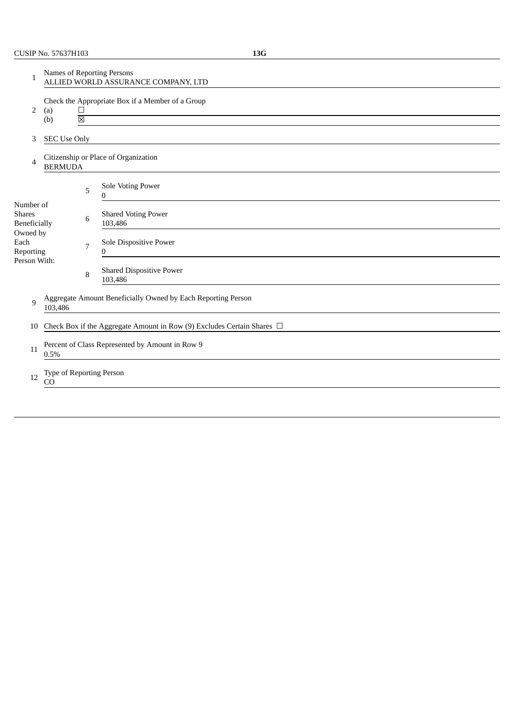| 1                                                 | Names of Reporting Persons<br>ALLIED WORLD ASSURANCE COMPANY, LTD                                  |   |                                                                             |  |  |  |  |
|---------------------------------------------------|----------------------------------------------------------------------------------------------------|---|-----------------------------------------------------------------------------|--|--|--|--|
| 2                                                 | Check the Appropriate Box if a Member of a Group<br>$\Box$<br>(a)<br>$\overline{\boxtimes}$<br>(b) |   |                                                                             |  |  |  |  |
| 3                                                 | <b>SEC Use Only</b>                                                                                |   |                                                                             |  |  |  |  |
| 4                                                 | <b>BERMUDA</b>                                                                                     |   | Citizenship or Place of Organization                                        |  |  |  |  |
|                                                   |                                                                                                    | 5 | Sole Voting Power<br>$\Omega$                                               |  |  |  |  |
| Number of<br><b>Shares</b><br><b>Beneficially</b> |                                                                                                    | 6 | <b>Shared Voting Power</b><br>103,486                                       |  |  |  |  |
| Owned by<br>Each<br>Reporting                     |                                                                                                    | 7 | Sole Dispositive Power<br>0                                                 |  |  |  |  |
| Person With:                                      |                                                                                                    | 8 | <b>Shared Dispositive Power</b><br>103,486                                  |  |  |  |  |
| $\mathbf{q}$                                      | Aggregate Amount Beneficially Owned by Each Reporting Person<br>103,486                            |   |                                                                             |  |  |  |  |
| 10                                                |                                                                                                    |   | Check Box if the Aggregate Amount in Row (9) Excludes Certain Shares $\Box$ |  |  |  |  |
| 11                                                | Percent of Class Represented by Amount in Row 9<br>0.5%                                            |   |                                                                             |  |  |  |  |
| 12                                                | Type of Reporting Person<br>CO                                                                     |   |                                                                             |  |  |  |  |
|                                                   |                                                                                                    |   |                                                                             |  |  |  |  |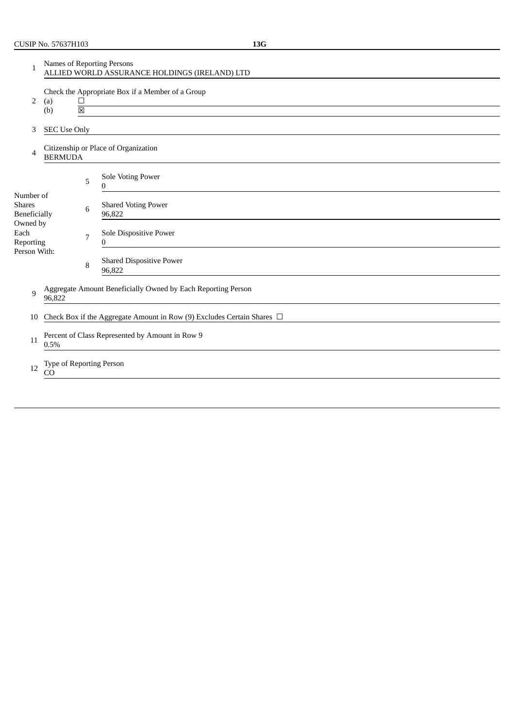Reporting Person With:

9

11

96,822

0.5%

| 1                                          | Names of Reporting Persons<br>ALLIED WORLD ASSURANCE HOLDINGS (IRELAND) LTD |   |                                                  |  |  |  |
|--------------------------------------------|-----------------------------------------------------------------------------|---|--------------------------------------------------|--|--|--|
| 2                                          | (a)<br>(b)                                                                  | 冈 | Check the Appropriate Box if a Member of a Group |  |  |  |
| 3                                          | <b>SEC Use Only</b>                                                         |   |                                                  |  |  |  |
| 4                                          | Citizenship or Place of Organization<br><b>BERMUDA</b>                      |   |                                                  |  |  |  |
|                                            |                                                                             | 5 | Sole Voting Power                                |  |  |  |
| Number of<br><b>Shares</b><br>Beneficially |                                                                             | 6 | <b>Shared Voting Power</b><br>96,822             |  |  |  |
| Owned by<br>Each<br>$D = 1$                |                                                                             | 7 | Sole Dispositive Power<br>$\Omega$               |  |  |  |

12 Type of Reporting Person CO

 $\boldsymbol{0}$ 

96,822

Percent of Class Represented by Amount in Row 9

Shared Dispositive Power

Aggregate Amount Beneficially Owned by Each Reporting Person

10 Check Box if the Aggregate Amount in Row (9) Excludes Certain Shares □

8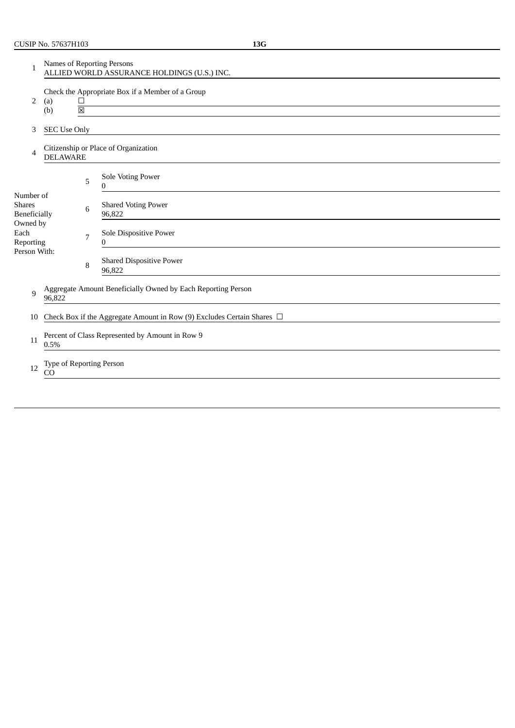| 1                                                 | Names of Reporting Persons<br>ALLIED WORLD ASSURANCE HOLDINGS (U.S.) INC. |                     |                |                                                                                                       |  |
|---------------------------------------------------|---------------------------------------------------------------------------|---------------------|----------------|-------------------------------------------------------------------------------------------------------|--|
| 2                                                 | (a)<br>(b)                                                                |                     | $\Box$<br>図    | Check the Appropriate Box if a Member of a Group<br><u> 1989 - Andrea State Barbara, amerikan per</u> |  |
| 3                                                 |                                                                           | <b>SEC Use Only</b> |                |                                                                                                       |  |
| 4                                                 |                                                                           | <b>DELAWARE</b>     |                | Citizenship or Place of Organization                                                                  |  |
|                                                   |                                                                           |                     | 5              | Sole Voting Power<br>0                                                                                |  |
| Number of<br><b>Shares</b><br><b>Beneficially</b> |                                                                           |                     | 6              | <b>Shared Voting Power</b><br>96,822                                                                  |  |
| Owned by<br>Each<br>Reporting                     |                                                                           |                     | $\overline{7}$ | Sole Dispositive Power<br>$\Omega$                                                                    |  |
| Person With:                                      |                                                                           |                     | 8              | <b>Shared Dispositive Power</b><br>96,822                                                             |  |
| 9                                                 | 96,822                                                                    |                     |                | Aggregate Amount Beneficially Owned by Each Reporting Person                                          |  |
| 10                                                |                                                                           |                     |                | Check Box if the Aggregate Amount in Row (9) Excludes Certain Shares $\Box$                           |  |
| 11                                                | Percent of Class Represented by Amount in Row 9<br>0.5%                   |                     |                |                                                                                                       |  |
| 12                                                | Type of Reporting Person<br>CO                                            |                     |                |                                                                                                       |  |
|                                                   |                                                                           |                     |                |                                                                                                       |  |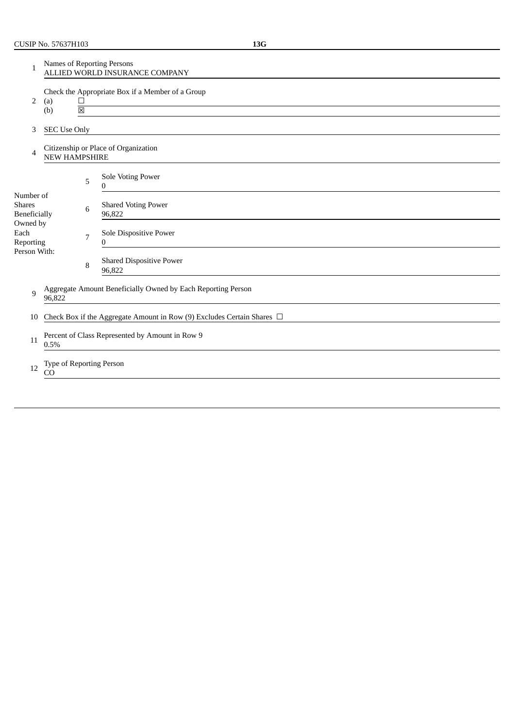| 1                                                 | Names of Reporting Persons<br>ALLIED WORLD INSURANCE COMPANY                            |   |                                                                             |  |  |  |
|---------------------------------------------------|-----------------------------------------------------------------------------------------|---|-----------------------------------------------------------------------------|--|--|--|
| 2                                                 | Check the Appropriate Box if a Member of a Group<br>$\Box$<br>(a)<br>$\boxtimes$<br>(b) |   |                                                                             |  |  |  |
| 3                                                 | <b>SEC Use Only</b>                                                                     |   |                                                                             |  |  |  |
| 4                                                 | <b>NEW HAMPSHIRE</b>                                                                    |   | Citizenship or Place of Organization                                        |  |  |  |
|                                                   |                                                                                         | 5 | Sole Voting Power<br>0                                                      |  |  |  |
| Number of<br><b>Shares</b><br><b>Beneficially</b> |                                                                                         | 6 | <b>Shared Voting Power</b><br>96,822                                        |  |  |  |
| Owned by<br>Each<br>Reporting                     |                                                                                         | 7 | Sole Dispositive Power<br>0                                                 |  |  |  |
| Person With:                                      |                                                                                         | 8 | <b>Shared Dispositive Power</b><br>96,822                                   |  |  |  |
| 9                                                 | 96,822                                                                                  |   | Aggregate Amount Beneficially Owned by Each Reporting Person                |  |  |  |
| 10                                                |                                                                                         |   | Check Box if the Aggregate Amount in Row (9) Excludes Certain Shares $\Box$ |  |  |  |
| 11                                                | Percent of Class Represented by Amount in Row 9<br>0.5%                                 |   |                                                                             |  |  |  |
| 12                                                | Type of Reporting Person<br>CO                                                          |   |                                                                             |  |  |  |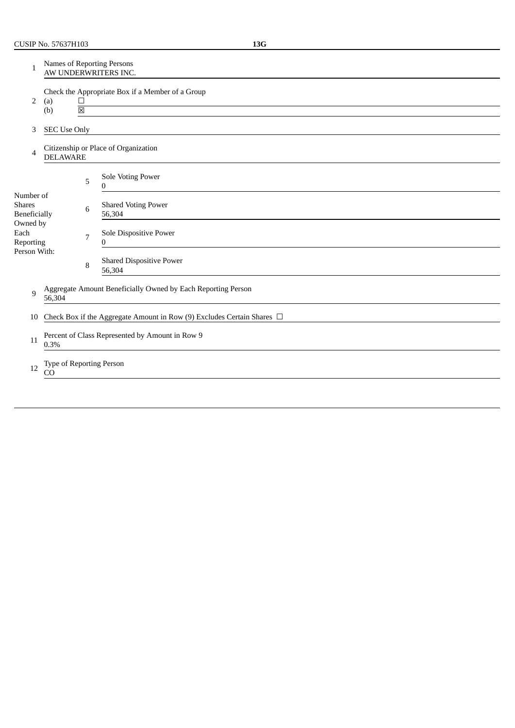| 1                                          | <b>Names of Reporting Persons</b><br>AW UNDERWRITERS INC.                                           |   |                                                                             |  |  |  |
|--------------------------------------------|-----------------------------------------------------------------------------------------------------|---|-----------------------------------------------------------------------------|--|--|--|
| 2                                          | Check the Appropriate Box if a Member of a Group<br>(a)<br>$\Box$<br>$\overline{\mathbb{X}}$<br>(b) |   |                                                                             |  |  |  |
| 3                                          | <b>SEC Use Only</b>                                                                                 |   |                                                                             |  |  |  |
| 4                                          | Citizenship or Place of Organization<br><b>DELAWARE</b>                                             |   |                                                                             |  |  |  |
|                                            |                                                                                                     | 5 | Sole Voting Power<br>0                                                      |  |  |  |
| Number of<br><b>Shares</b><br>Beneficially |                                                                                                     | 6 | <b>Shared Voting Power</b><br>56,304                                        |  |  |  |
| Owned by<br>Each<br>Reporting              |                                                                                                     | 7 | Sole Dispositive Power<br>0                                                 |  |  |  |
| Person With:                               |                                                                                                     | 8 | <b>Shared Dispositive Power</b><br>56,304                                   |  |  |  |
| 9                                          | Aggregate Amount Beneficially Owned by Each Reporting Person<br>56,304                              |   |                                                                             |  |  |  |
| 10                                         |                                                                                                     |   | Check Box if the Aggregate Amount in Row (9) Excludes Certain Shares $\Box$ |  |  |  |
| 11                                         | Percent of Class Represented by Amount in Row 9<br>0.3%                                             |   |                                                                             |  |  |  |
| 12                                         | Type of Reporting Person<br>CO                                                                      |   |                                                                             |  |  |  |
|                                            |                                                                                                     |   |                                                                             |  |  |  |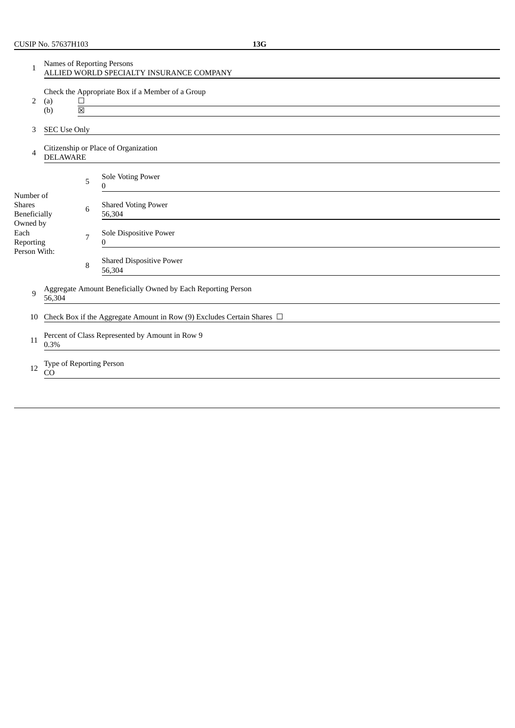| 1                                          | Names of Reporting Persons<br>ALLIED WORLD SPECIALTY INSURANCE COMPANY      |                       |                                                  |  |  |
|--------------------------------------------|-----------------------------------------------------------------------------|-----------------------|--------------------------------------------------|--|--|
| 2                                          | (a)<br>(b)                                                                  | $\Box$<br>$\boxtimes$ | Check the Appropriate Box if a Member of a Group |  |  |
| 3                                          | <b>SEC Use Only</b>                                                         |                       |                                                  |  |  |
| 4                                          | Citizenship or Place of Organization<br><b>DELAWARE</b>                     |                       |                                                  |  |  |
|                                            |                                                                             | 5                     | <b>Sole Voting Power</b><br>0                    |  |  |
| Number of<br><b>Shares</b><br>Beneficially |                                                                             | 6                     | <b>Shared Voting Power</b><br>56,304             |  |  |
| Owned by<br>Each<br>Reporting              |                                                                             | 7                     | Sole Dispositive Power<br>0                      |  |  |
| Person With:                               |                                                                             | 8                     | <b>Shared Dispositive Power</b><br>56,304        |  |  |
| 9                                          | Aggregate Amount Beneficially Owned by Each Reporting Person<br>56,304      |                       |                                                  |  |  |
| 10                                         | Check Box if the Aggregate Amount in Row (9) Excludes Certain Shares $\Box$ |                       |                                                  |  |  |
| 11                                         | Percent of Class Represented by Amount in Row 9<br>0.3%                     |                       |                                                  |  |  |
| 12                                         | Type of Reporting Person<br>CO                                              |                       |                                                  |  |  |
|                                            |                                                                             |                       |                                                  |  |  |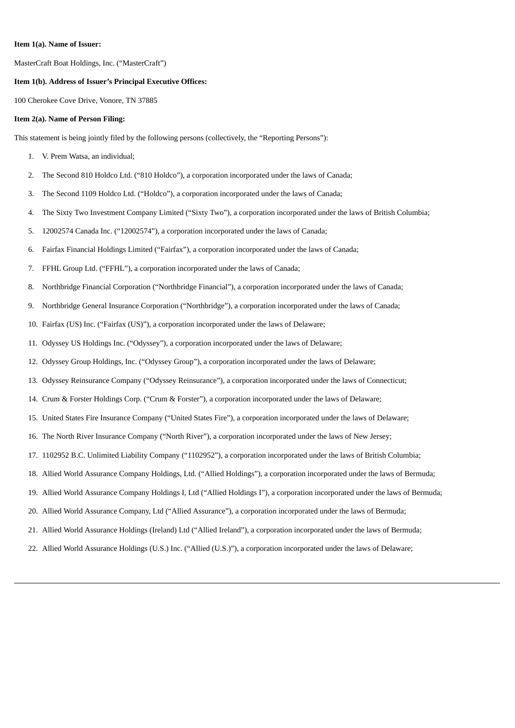#### **Item 1(a). Name of Issuer:**

MasterCraft Boat Holdings, Inc. ("MasterCraft")

#### **Item 1(b). Address of Issuer's Principal Executive Offices:**

100 Cherokee Cove Drive, Vonore, TN 37885

#### **Item 2(a). Name of Person Filing:**

This statement is being jointly filed by the following persons (collectively, the "Reporting Persons"):

- 1. V. Prem Watsa, an individual;
- 2. The Second 810 Holdco Ltd. ("810 Holdco"), a corporation incorporated under the laws of Canada;
- 3. The Second 1109 Holdco Ltd. ("Holdco"), a corporation incorporated under the laws of Canada;
- 4. The Sixty Two Investment Company Limited ("Sixty Two"), a corporation incorporated under the laws of British Columbia;
- 5. 12002574 Canada Inc. ("12002574"), a corporation incorporated under the laws of Canada;
- 6. Fairfax Financial Holdings Limited ("Fairfax"), a corporation incorporated under the laws of Canada;
- 7. FFHL Group Ltd. ("FFHL"), a corporation incorporated under the laws of Canada;
- 8. Northbridge Financial Corporation ("Northbridge Financial"), a corporation incorporated under the laws of Canada;
- 9. Northbridge General Insurance Corporation ("Northbridge"), a corporation incorporated under the laws of Canada;
- 10. Fairfax (US) Inc. ("Fairfax (US)"), a corporation incorporated under the laws of Delaware;
- 11. Odyssey US Holdings Inc. ("Odyssey"), a corporation incorporated under the laws of Delaware;
- 12. Odyssey Group Holdings, Inc. ("Odyssey Group"), a corporation incorporated under the laws of Delaware;
- 13. Odyssey Reinsurance Company ("Odyssey Reinsurance"), a corporation incorporated under the laws of Connecticut;
- 14. Crum & Forster Holdings Corp. ("Crum & Forster"), a corporation incorporated under the laws of Delaware;
- 15. United States Fire Insurance Company ("United States Fire"), a corporation incorporated under the laws of Delaware;
- 16. The North River Insurance Company ("North River"), a corporation incorporated under the laws of New Jersey;
- 17. 1102952 B.C. Unlimited Liability Company ("1102952"), a corporation incorporated under the laws of British Columbia;
- 18. Allied World Assurance Company Holdings, Ltd. ("Allied Holdings"), a corporation incorporated under the laws of Bermuda;
- 19. Allied World Assurance Company Holdings I, Ltd ("Allied Holdings I"), a corporation incorporated under the laws of Bermuda;
- 20. Allied World Assurance Company, Ltd ("Allied Assurance"), a corporation incorporated under the laws of Bermuda;
- 21. Allied World Assurance Holdings (Ireland) Ltd ("Allied Ireland"), a corporation incorporated under the laws of Bermuda;
- 22. Allied World Assurance Holdings (U.S.) Inc. ("Allied (U.S.)"), a corporation incorporated under the laws of Delaware;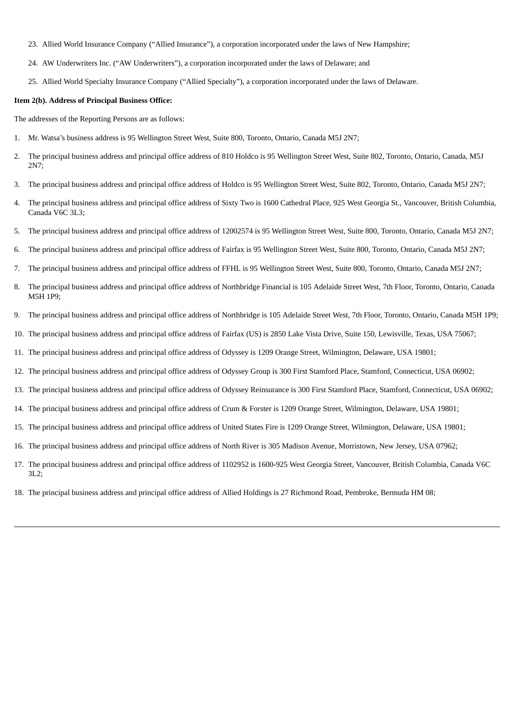- 23. Allied World Insurance Company ("Allied Insurance"), a corporation incorporated under the laws of New Hampshire;
- 24. AW Underwriters Inc. ("AW Underwriters"), a corporation incorporated under the laws of Delaware; and
- 25. Allied World Specialty Insurance Company ("Allied Specialty"), a corporation incorporated under the laws of Delaware.

#### **Item 2(b). Address of Principal Business Office:**

The addresses of the Reporting Persons are as follows:

- 1. Mr. Watsa's business address is 95 Wellington Street West, Suite 800, Toronto, Ontario, Canada M5J 2N7;
- 2. The principal business address and principal office address of 810 Holdco is 95 Wellington Street West, Suite 802, Toronto, Ontario, Canada, M5J 2N7;
- 3. The principal business address and principal office address of Holdco is 95 Wellington Street West, Suite 802, Toronto, Ontario, Canada M5J 2N7;
- 4. The principal business address and principal office address of Sixty Two is 1600 Cathedral Place, 925 West Georgia St., Vancouver, British Columbia, Canada V6C 3L3;
- 5. The principal business address and principal office address of 12002574 is 95 Wellington Street West, Suite 800, Toronto, Ontario, Canada M5J 2N7;
- 6. The principal business address and principal office address of Fairfax is 95 Wellington Street West, Suite 800, Toronto, Ontario, Canada M5J 2N7;
- 7. The principal business address and principal office address of FFHL is 95 Wellington Street West, Suite 800, Toronto, Ontario, Canada M5J 2N7;
- 8. The principal business address and principal office address of Northbridge Financial is 105 Adelaide Street West, 7th Floor, Toronto, Ontario, Canada M5H 1P9;
- 9. The principal business address and principal office address of Northbridge is 105 Adelaide Street West, 7th Floor, Toronto, Ontario, Canada M5H 1P9;
- 10. The principal business address and principal office address of Fairfax (US) is 2850 Lake Vista Drive, Suite 150, Lewisville, Texas, USA 75067;
- 11. The principal business address and principal office address of Odyssey is 1209 Orange Street, Wilmington, Delaware, USA 19801;
- 12. The principal business address and principal office address of Odyssey Group is 300 First Stamford Place, Stamford, Connecticut, USA 06902;
- 13. The principal business address and principal office address of Odyssey Reinsurance is 300 First Stamford Place, Stamford, Connecticut, USA 06902;
- 14. The principal business address and principal office address of Crum & Forster is 1209 Orange Street, Wilmington, Delaware, USA 19801;
- 15. The principal business address and principal office address of United States Fire is 1209 Orange Street, Wilmington, Delaware, USA 19801;
- 16. The principal business address and principal office address of North River is 305 Madison Avenue, Morristown, New Jersey, USA 07962;
- 17. The principal business address and principal office address of 1102952 is 1600-925 West Georgia Street, Vancouver, British Columbia, Canada V6C 3L2;
- 18. The principal business address and principal office address of Allied Holdings is 27 Richmond Road, Pembroke, Bermuda HM 08;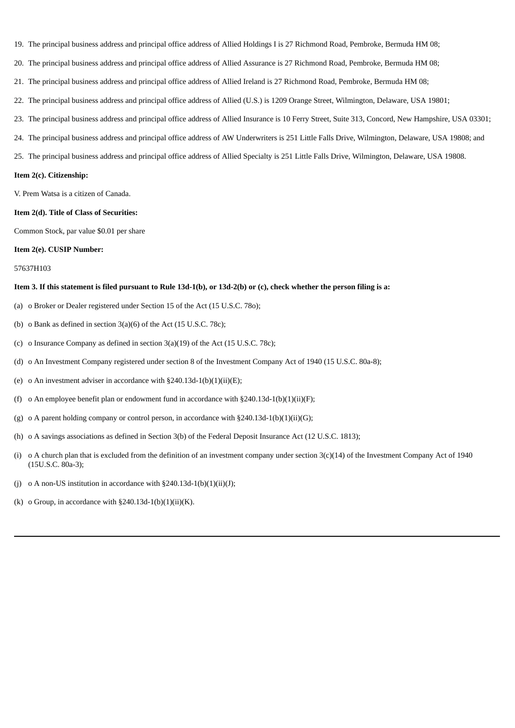- 19. The principal business address and principal office address of Allied Holdings I is 27 Richmond Road, Pembroke, Bermuda HM 08;
- 20. The principal business address and principal office address of Allied Assurance is 27 Richmond Road, Pembroke, Bermuda HM 08;
- 21. The principal business address and principal office address of Allied Ireland is 27 Richmond Road, Pembroke, Bermuda HM 08;
- 22. The principal business address and principal office address of Allied (U.S.) is 1209 Orange Street, Wilmington, Delaware, USA 19801;
- 23. The principal business address and principal office address of Allied Insurance is 10 Ferry Street, Suite 313, Concord, New Hampshire, USA 03301;
- 24. The principal business address and principal office address of AW Underwriters is 251 Little Falls Drive, Wilmington, Delaware, USA 19808; and
- 25. The principal business address and principal office address of Allied Specialty is 251 Little Falls Drive, Wilmington, Delaware, USA 19808.

#### **Item 2(c). Citizenship:**

V. Prem Watsa is a citizen of Canada.

#### **Item 2(d). Title of Class of Securities:**

Common Stock, par value \$0.01 per share

#### **Item 2(e). CUSIP Number:**

#### 57637H103

#### Item 3. If this statement is filed pursuant to Rule 13d-1(b), or 13d-2(b) or (c), check whether the person filing is a:

- (a) o Broker or Dealer registered under Section 15 of the Act (15 U.S.C. 78o);
- (b) o Bank as defined in section 3(a)(6) of the Act (15 U.S.C. 78c);
- (c) o Insurance Company as defined in section 3(a)(19) of the Act (15 U.S.C. 78c);
- (d) o An Investment Company registered under section 8 of the Investment Company Act of 1940 (15 U.S.C. 80a-8);
- (e) o An investment adviser in accordance with  $\S 240.13d-1(b)(1)(ii)(E);$
- (f) o An employee benefit plan or endowment fund in accordance with  $\S240.13d-1(b)(1)(ii)(F);$
- (g) o A parent holding company or control person, in accordance with  $\S240.13d-1(b)(1)(ii)(G);$
- (h) o A savings associations as defined in Section 3(b) of the Federal Deposit Insurance Act (12 U.S.C. 1813);
- (i) o A church plan that is excluded from the definition of an investment company under section  $3(c)(14)$  of the Investment Company Act of 1940 (15U.S.C. 80a-3);
- (j) o A non-US institution in accordance with  $\S 240.13d-1(b)(1)(ii)(J)$ ;
- (k) o Group, in accordance with  $\S 240.13d-1(b)(1)(ii)(K)$ .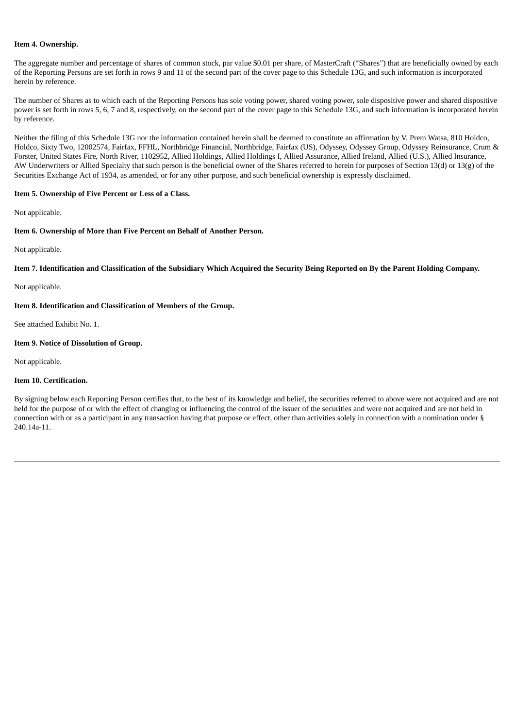#### **Item 4. Ownership.**

The aggregate number and percentage of shares of common stock, par value \$0.01 per share, of MasterCraft ("Shares") that are beneficially owned by each of the Reporting Persons are set forth in rows 9 and 11 of the second part of the cover page to this Schedule 13G, and such information is incorporated herein by reference.

The number of Shares as to which each of the Reporting Persons has sole voting power, shared voting power, sole dispositive power and shared dispositive power is set forth in rows 5, 6, 7 and 8, respectively, on the second part of the cover page to this Schedule 13G, and such information is incorporated herein by reference.

Neither the filing of this Schedule 13G nor the information contained herein shall be deemed to constitute an affirmation by V. Prem Watsa, 810 Holdco, Holdco, Sixty Two, 12002574, Fairfax, FFHL, Northbridge Financial, Northbridge, Fairfax (US), Odyssey, Odyssey Group, Odyssey Reinsurance, Crum & Forster, United States Fire, North River, 1102952, Allied Holdings, Allied Holdings I, Allied Assurance, Allied Ireland, Allied (U.S.), Allied Insurance, AW Underwriters or Allied Specialty that such person is the beneficial owner of the Shares referred to herein for purposes of Section 13(d) or 13(g) of the Securities Exchange Act of 1934, as amended, or for any other purpose, and such beneficial ownership is expressly disclaimed.

#### **Item 5. Ownership of Five Percent or Less of a Class.**

Not applicable.

#### **Item 6. Ownership of More than Five Percent on Behalf of Another Person.**

Not applicable.

#### Item 7. Identification and Classification of the Subsidiary Which Acquired the Security Being Reported on By the Parent Holding Company.

Not applicable.

#### **Item 8. Identification and Classification of Members of the Group.**

See attached Exhibit No. 1.

#### **Item 9. Notice of Dissolution of Group.**

Not applicable.

#### **Item 10. Certification.**

By signing below each Reporting Person certifies that, to the best of its knowledge and belief, the securities referred to above were not acquired and are not held for the purpose of or with the effect of changing or influencing the control of the issuer of the securities and were not acquired and are not held in connection with or as a participant in any transaction having that purpose or effect, other than activities solely in connection with a nomination under § 240.14a-11.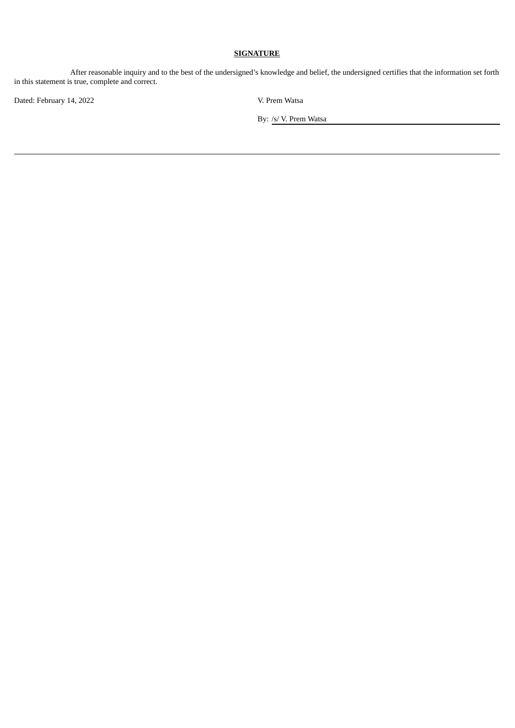After reasonable inquiry and to the best of the undersigned's knowledge and belief, the undersigned certifies that the information set forth in this statement is true, complete and correct.

Dated: February 14, 2022 V. Prem Watsa

By: /s/ V. Prem Watsa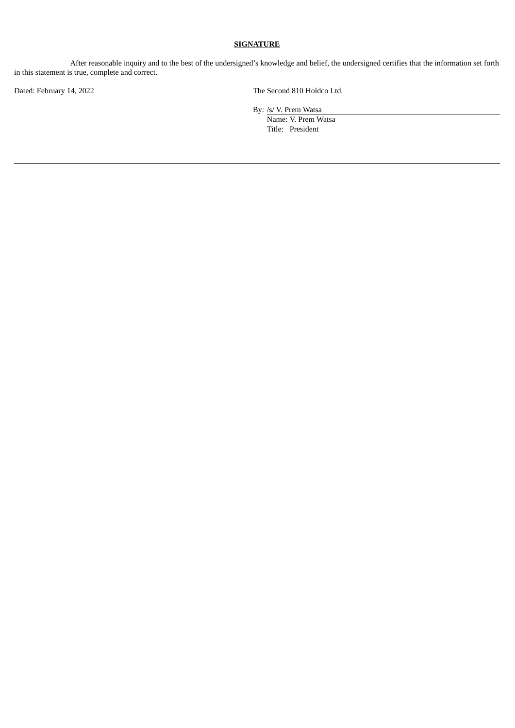After reasonable inquiry and to the best of the undersigned's knowledge and belief, the undersigned certifies that the information set forth in this statement is true, complete and correct.

Dated: February 14, 2022 The Second 810 Holdco Ltd.

By: /s/ V. Prem Watsa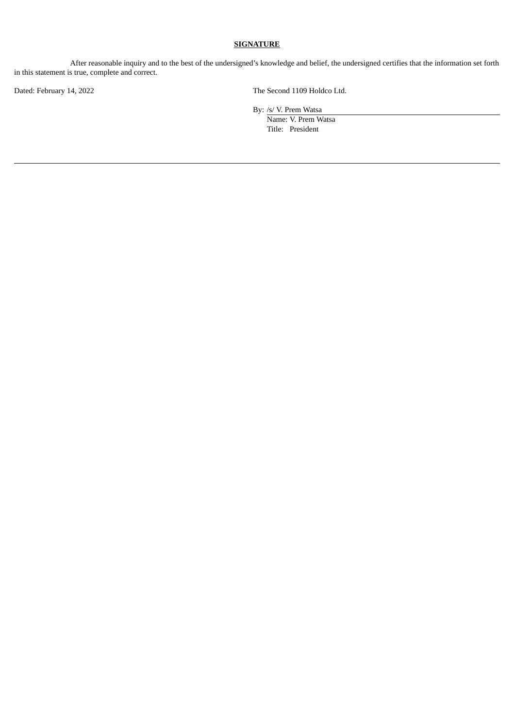After reasonable inquiry and to the best of the undersigned's knowledge and belief, the undersigned certifies that the information set forth in this statement is true, complete and correct.

Dated: February 14, 2022 The Second 1109 Holdco Ltd.

By: /s/ V. Prem Watsa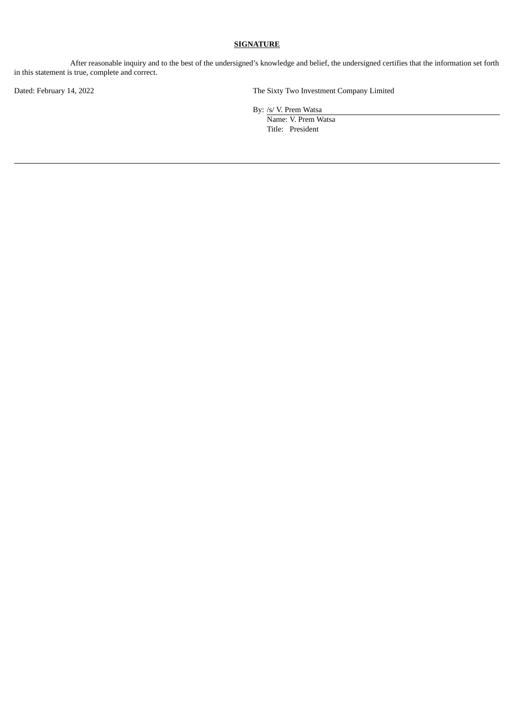After reasonable inquiry and to the best of the undersigned's knowledge and belief, the undersigned certifies that the information set forth in this statement is true, complete and correct.

Dated: February 14, 2022 The Sixty Two Investment Company Limited

By: /s/ V. Prem Watsa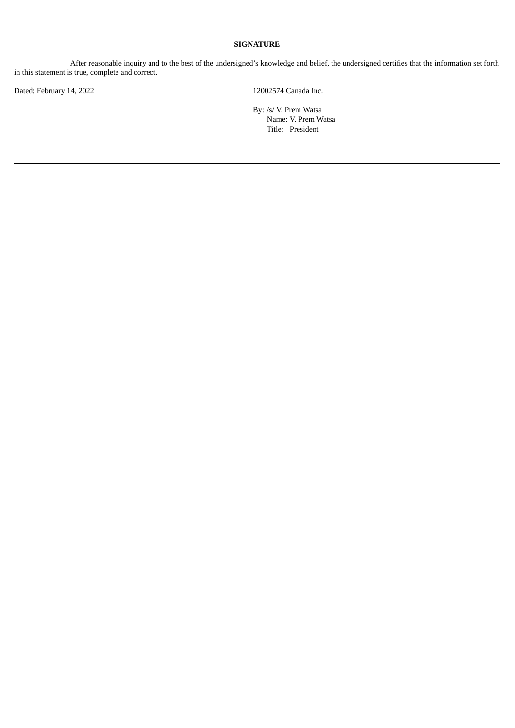After reasonable inquiry and to the best of the undersigned's knowledge and belief, the undersigned certifies that the information set forth in this statement is true, complete and correct.

Dated: February 14, 2022 12002574 Canada Inc.

By: /s/ V. Prem Watsa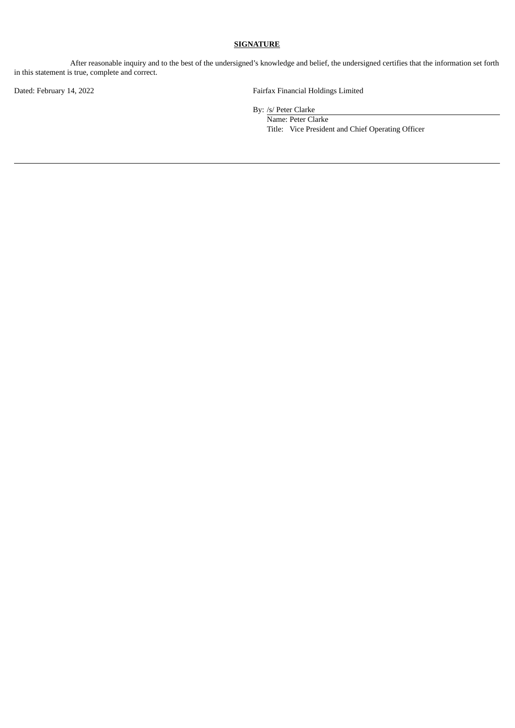After reasonable inquiry and to the best of the undersigned's knowledge and belief, the undersigned certifies that the information set forth in this statement is true, complete and correct.

Dated: February 14, 2022 Tairfax Financial Holdings Limited

By: /s/ Peter Clarke

Name: Peter Clarke Title: Vice President and Chief Operating Officer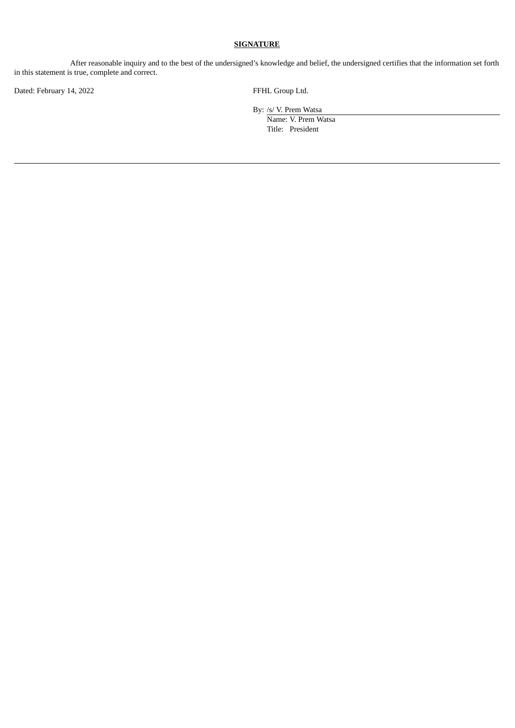After reasonable inquiry and to the best of the undersigned's knowledge and belief, the undersigned certifies that the information set forth in this statement is true, complete and correct.

Dated: February 14, 2022 **FFHL Group Ltd.** 

By: /s/ V. Prem Watsa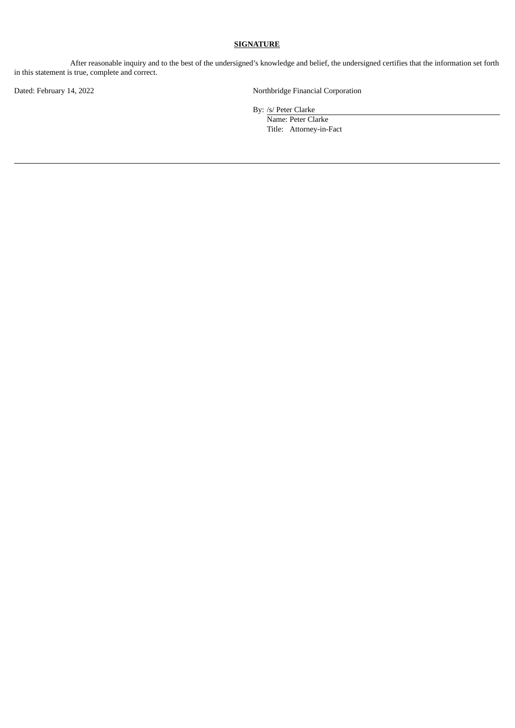After reasonable inquiry and to the best of the undersigned's knowledge and belief, the undersigned certifies that the information set forth in this statement is true, complete and correct.

Dated: February 14, 2022 **Northbridge Financial Corporation** 

By: /s/ Peter Clarke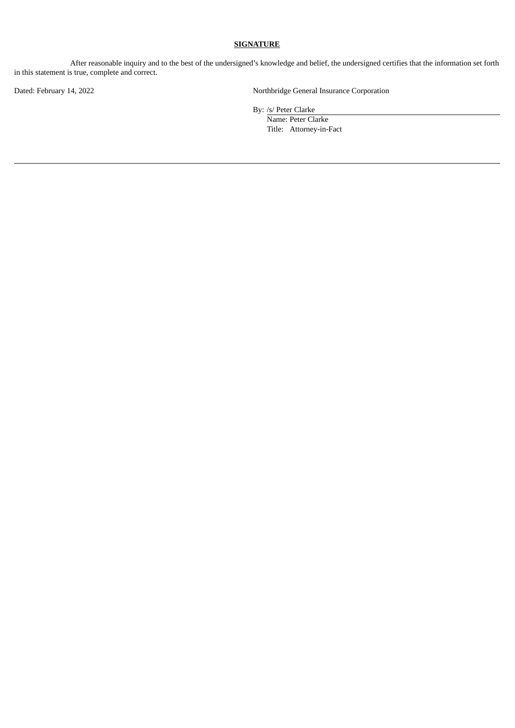After reasonable inquiry and to the best of the undersigned's knowledge and belief, the undersigned certifies that the information set forth in this statement is true, complete and correct.

Dated: February 14, 2022 Northbridge General Insurance Corporation

By: /s/ Peter Clarke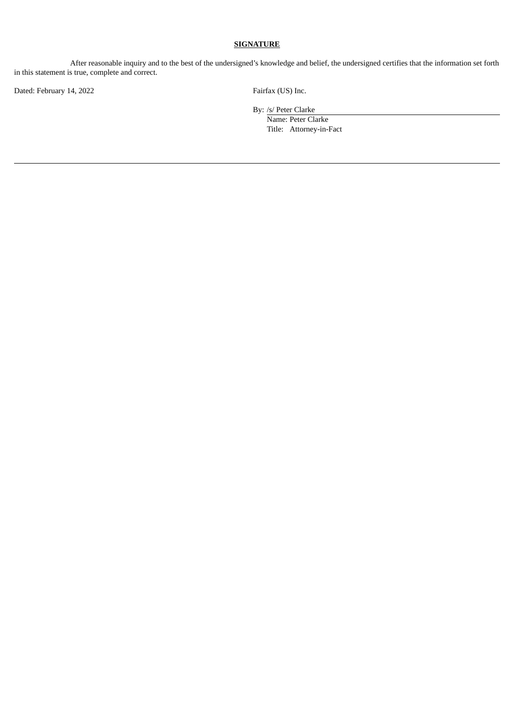After reasonable inquiry and to the best of the undersigned's knowledge and belief, the undersigned certifies that the information set forth in this statement is true, complete and correct.

Dated: February 14, 2022 Fairfax (US) Inc.

By: /s/ Peter Clarke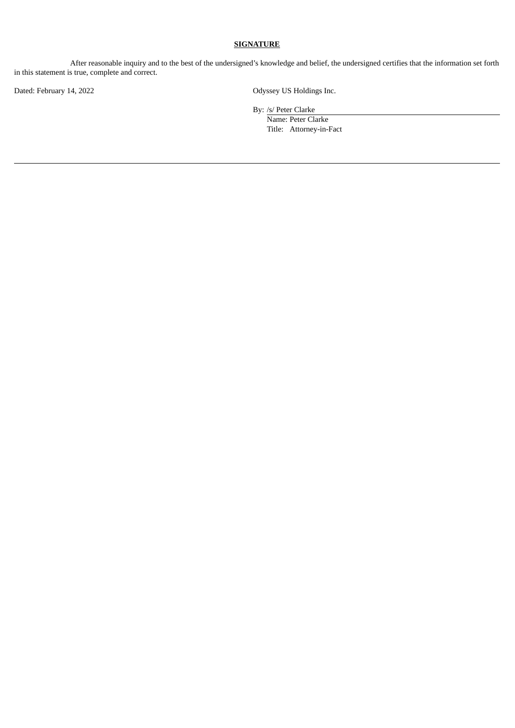After reasonable inquiry and to the best of the undersigned's knowledge and belief, the undersigned certifies that the information set forth in this statement is true, complete and correct.

Dated: February 14, 2022 Contract Contract Contract Contract Contract Contract Contract Contract Contract Contract Contract Contract Contract Contract Contract Contract Contract Contract Contract Contract Contract Contract

By: /s/ Peter Clarke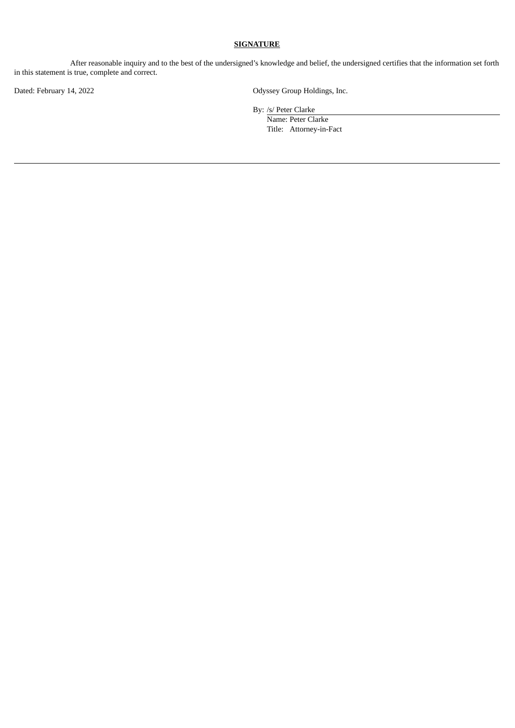After reasonable inquiry and to the best of the undersigned's knowledge and belief, the undersigned certifies that the information set forth in this statement is true, complete and correct.

Dated: February 14, 2022 Channel Communication Control Control Control Control Control Control Control Control Control Control Control Control Control Control Control Control Control Control Control Control Control Control

By: /s/ Peter Clarke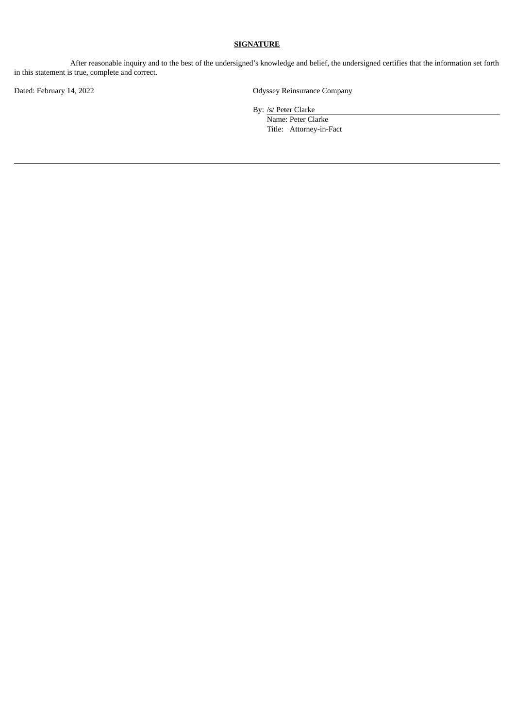After reasonable inquiry and to the best of the undersigned's knowledge and belief, the undersigned certifies that the information set forth in this statement is true, complete and correct.

Dated: February 14, 2022 **Dated: February 14, 2022** Odyssey Reinsurance Company

By: /s/ Peter Clarke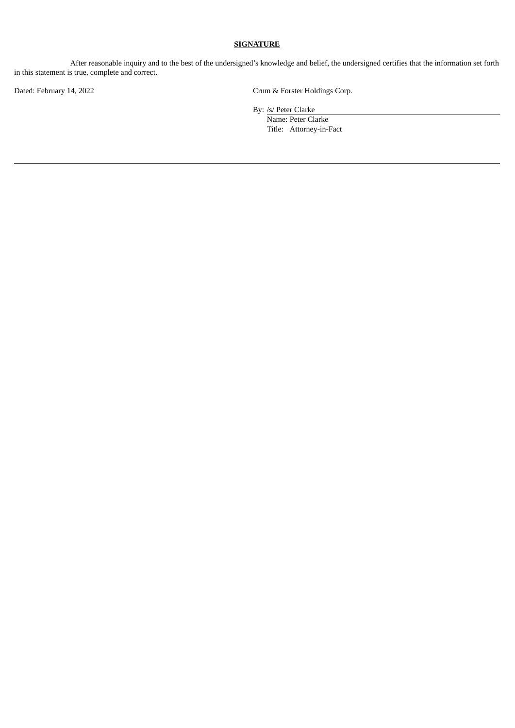After reasonable inquiry and to the best of the undersigned's knowledge and belief, the undersigned certifies that the information set forth in this statement is true, complete and correct.

Dated: February 14, 2022 Crum & Forster Holdings Corp.

By: /s/ Peter Clarke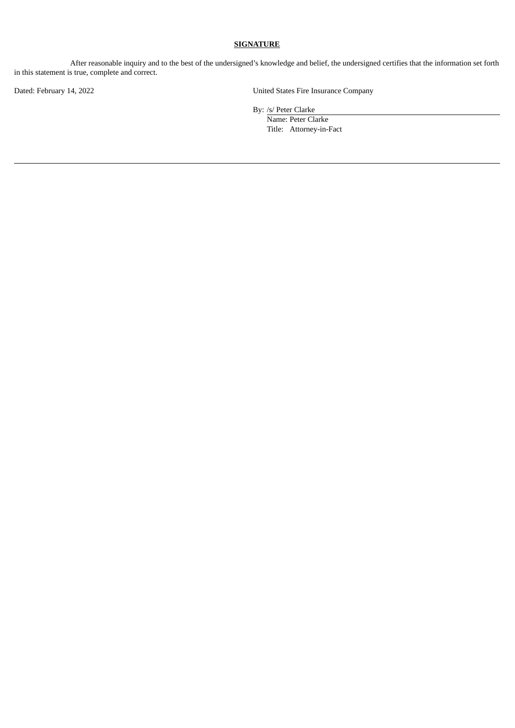After reasonable inquiry and to the best of the undersigned's knowledge and belief, the undersigned certifies that the information set forth in this statement is true, complete and correct.

Dated: February 14, 2022 United States Fire Insurance Company

By: /s/ Peter Clarke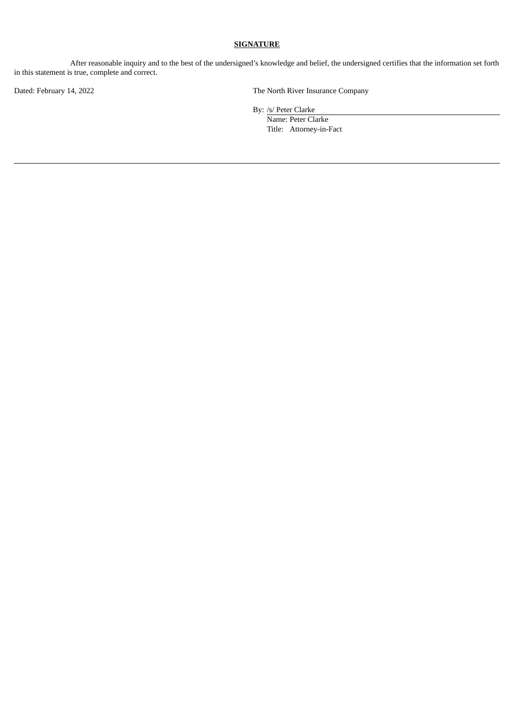After reasonable inquiry and to the best of the undersigned's knowledge and belief, the undersigned certifies that the information set forth in this statement is true, complete and correct.

Dated: February 14, 2022 The North River Insurance Company

By: /s/ Peter Clarke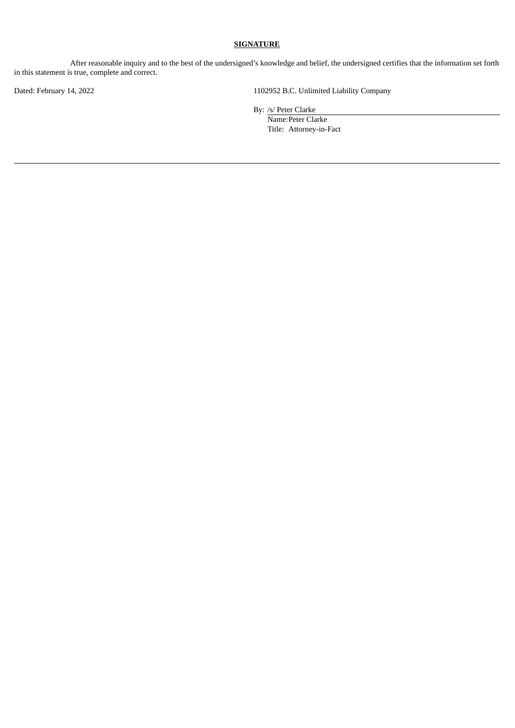After reasonable inquiry and to the best of the undersigned's knowledge and belief, the undersigned certifies that the information set forth in this statement is true, complete and correct.

Dated: February 14, 2022 1102952 B.C. Unlimited Liability Company

By: /s/ Peter Clarke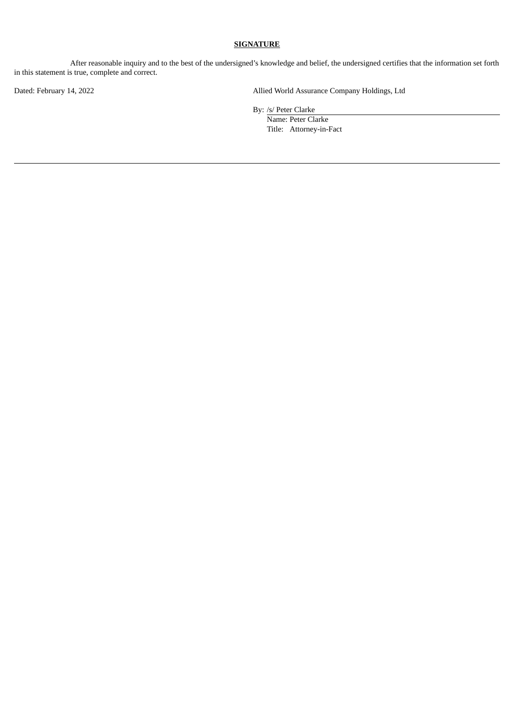After reasonable inquiry and to the best of the undersigned's knowledge and belief, the undersigned certifies that the information set forth in this statement is true, complete and correct.

Dated: February 14, 2022 Allied World Assurance Company Holdings, Ltd

By: /s/ Peter Clarke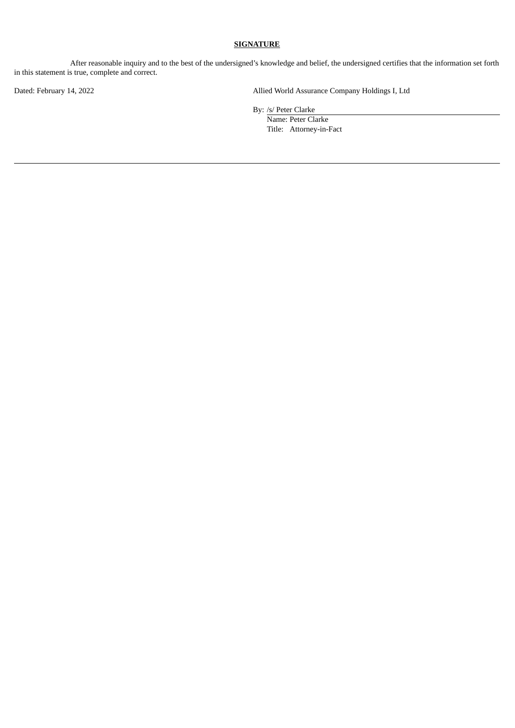After reasonable inquiry and to the best of the undersigned's knowledge and belief, the undersigned certifies that the information set forth in this statement is true, complete and correct.

Dated: February 14, 2022 Allied World Assurance Company Holdings I, Ltd

By: /s/ Peter Clarke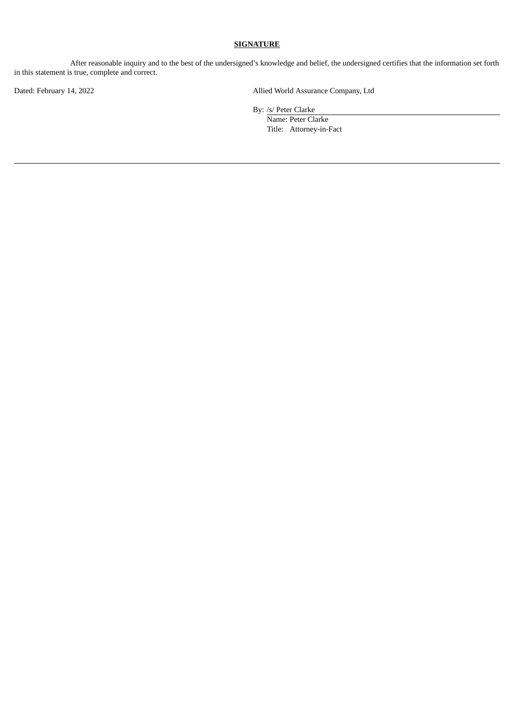After reasonable inquiry and to the best of the undersigned's knowledge and belief, the undersigned certifies that the information set forth in this statement is true, complete and correct.

Dated: February 14, 2022 Allied World Assurance Company, Ltd

By: /s/ Peter Clarke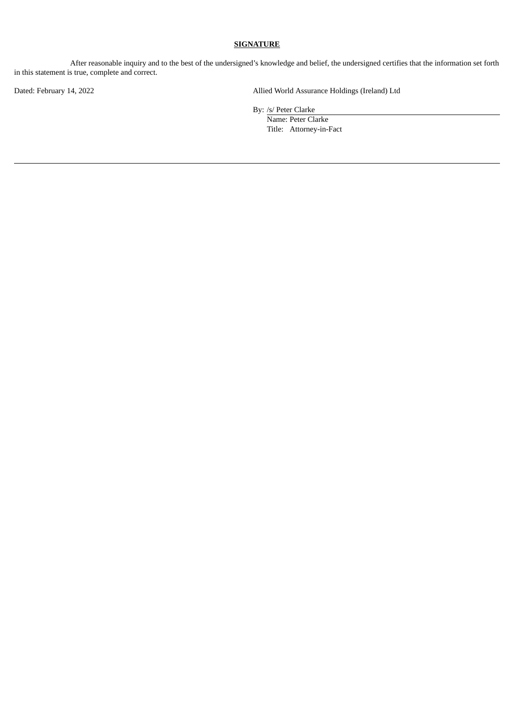After reasonable inquiry and to the best of the undersigned's knowledge and belief, the undersigned certifies that the information set forth in this statement is true, complete and correct.

Dated: February 14, 2022 Allied World Assurance Holdings (Ireland) Ltd

By: /s/ Peter Clarke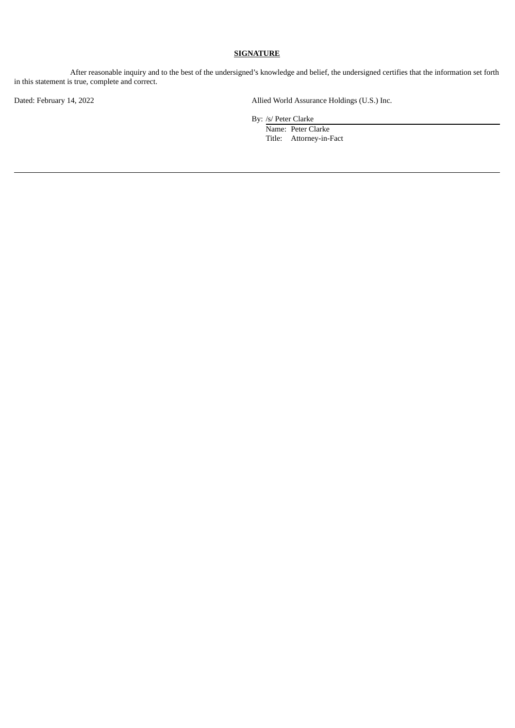After reasonable inquiry and to the best of the undersigned's knowledge and belief, the undersigned certifies that the information set forth in this statement is true, complete and correct.

Dated: February 14, 2022 Allied World Assurance Holdings (U.S.) Inc.

By: /s/ Peter Clarke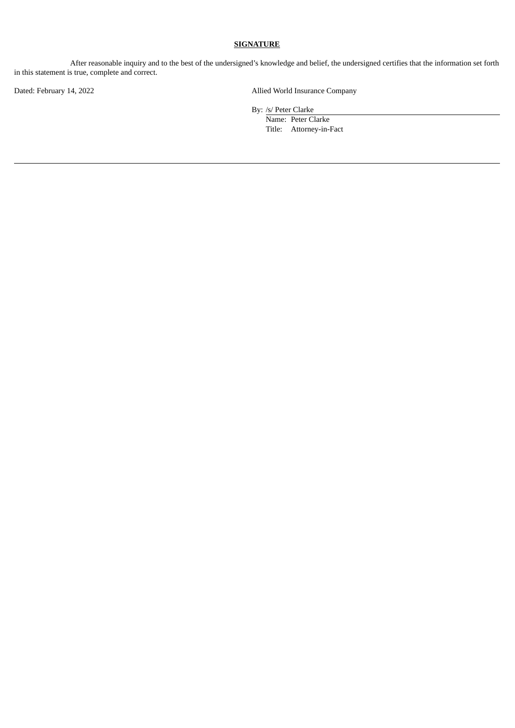After reasonable inquiry and to the best of the undersigned's knowledge and belief, the undersigned certifies that the information set forth in this statement is true, complete and correct.

Dated: February 14, 2022 Allied World Insurance Company

By: /s/ Peter Clarke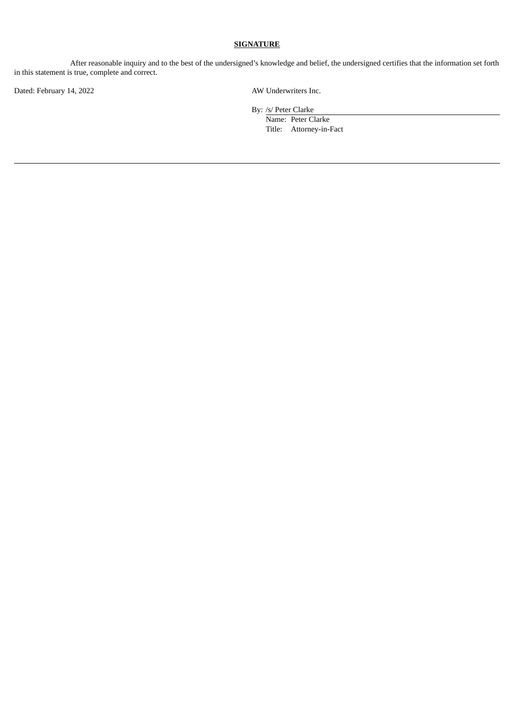After reasonable inquiry and to the best of the undersigned's knowledge and belief, the undersigned certifies that the information set forth in this statement is true, complete and correct.

Dated: February 14, 2022 AW Underwriters Inc.

By: /s/ Peter Clarke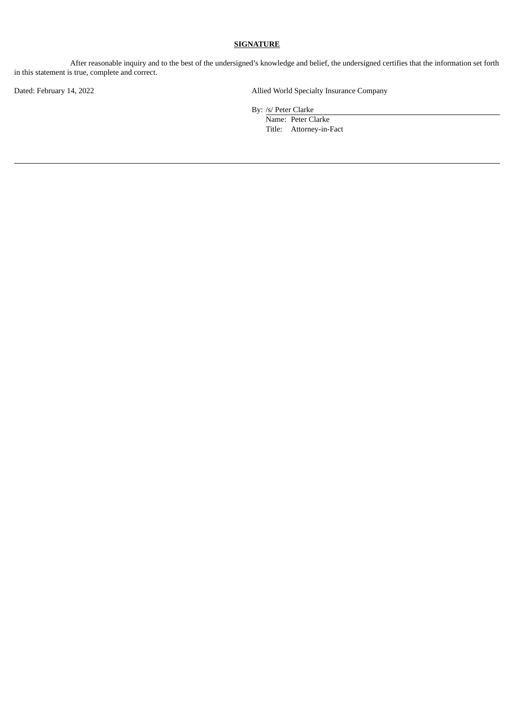After reasonable inquiry and to the best of the undersigned's knowledge and belief, the undersigned certifies that the information set forth in this statement is true, complete and correct.

Dated: February 14, 2022 Allied World Specialty Insurance Company

By: /s/ Peter Clarke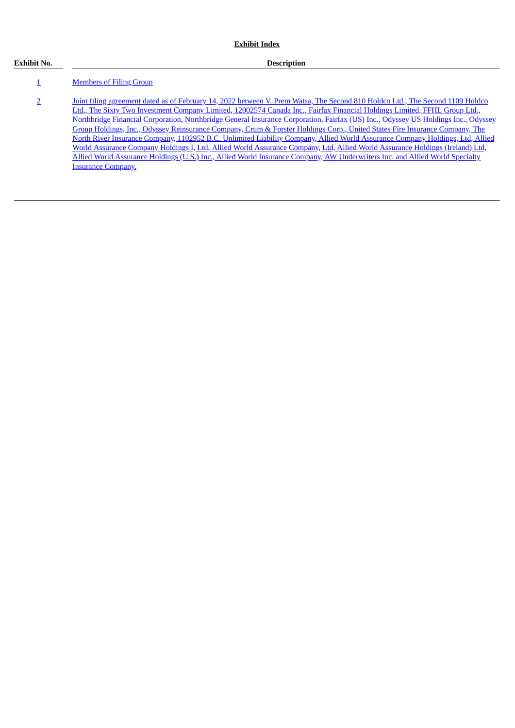#### **Exhibit No. Description**

#### [1](#page-56-0) **[Members](#page-56-0) of Filing Group**

[2](#page-57-0) Joint filing agreement dated as of February 14, 2022 between V. Prem Watsa, The Second 810 Holdco Ltd., The Second 1109 Holdco Ltd., The Sixty Two Investment Company Limited, 12002574 Canada Inc., Fairfax Financial Holdings Limited, FFHL Group Ltd., Northbridge Financial Corporation, Northbridge General Insurance Corporation, Fairfax (US) Inc., Odyssey US Holdings Inc., Odyssey Group Holdings, Inc., Odyssey Reinsurance Company, Crum & Forster Holdings Corp., United States Fire Insurance Company, The North River Insurance Company, 1102952 B.C. Unlimited Liability Company, Allied World Assurance Company Holdings, Ltd, Allied World Assurance Company Holdings I, Ltd, Allied World Assurance Company, Ltd, Allied World Assurance Holdings (Ireland) Ltd, Allied World Assurance Holdings (U.S.) Inc., Allied World Insurance Company, AW [Underwriters](#page-57-0) Inc. and Allied World Specialty Insurance Company.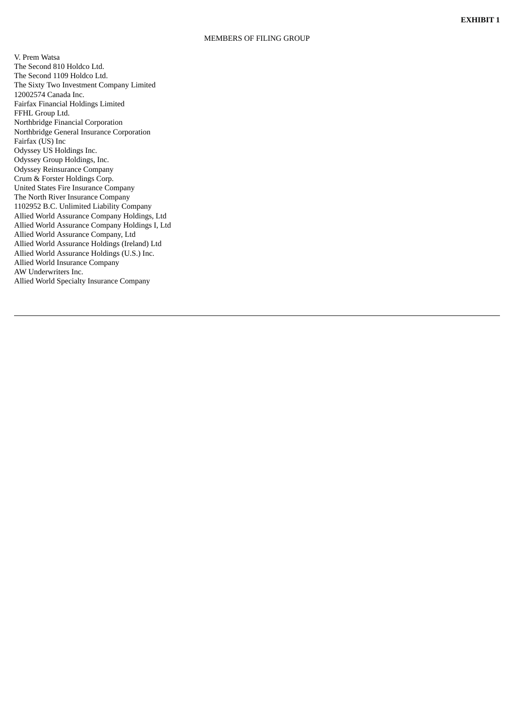#### MEMBERS OF FILING GROUP

<span id="page-56-0"></span>V. Prem Watsa The Second 810 Holdco Ltd. The Second 1109 Holdco Ltd. The Sixty Two Investment Company Limited 12002574 Canada Inc. Fairfax Financial Holdings Limited FFHL Group Ltd. Northbridge Financial Corporation Northbridge General Insurance Corporation Fairfax (US) Inc Odyssey US Holdings Inc. Odyssey Group Holdings, I n c. Odyssey Reinsurance Compan y Crum & Forster Holdings Corp. United States Fire Insurance Company The North River Insurance Company 1102952 B.C. Unlimited Liability Company Allied World Assurance Company Holdings, Ltd Allied World Assurance Company Holdings I, Ltd Allied World Assurance Company, Ltd Allied World Assurance Holdings (Ireland) Ltd Allied World Assurance Holdings (U.S.) Inc. Allied World Insurance Company AW Underwriters Inc. Allied World Specialty Insurance Company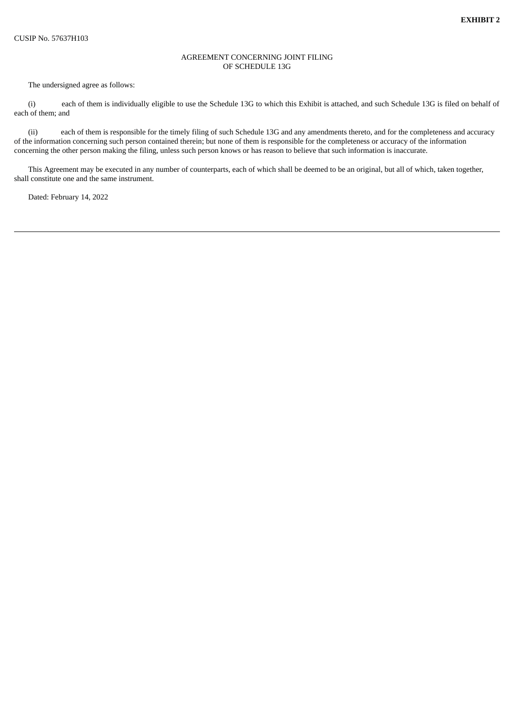#### AGREEMENT CONCERNING JOINT FILING OF SCHEDULE 13G

<span id="page-57-0"></span>The undersigned agree as follows:

(i) each of them is individually eligible to use the Schedule 13G to which this Exhibit is attached, and such Schedule 13G is filed on behalf of each of them; and

(ii) each of them is responsible for the timely filing of such Schedule 13G and any amendments thereto, and for the completeness and accuracy of the information concerning such person contained therein; but none of them is responsible for the completeness or accuracy of the information concerning the other person making the filing, unless such person knows or has reason to believe that such information is inaccurate.

This Agreement may be executed in any number of counterparts, each of which shall be deemed to be an original, but all of which, taken together, shall constitute one and the same instrument.

Dated: February 14, 2022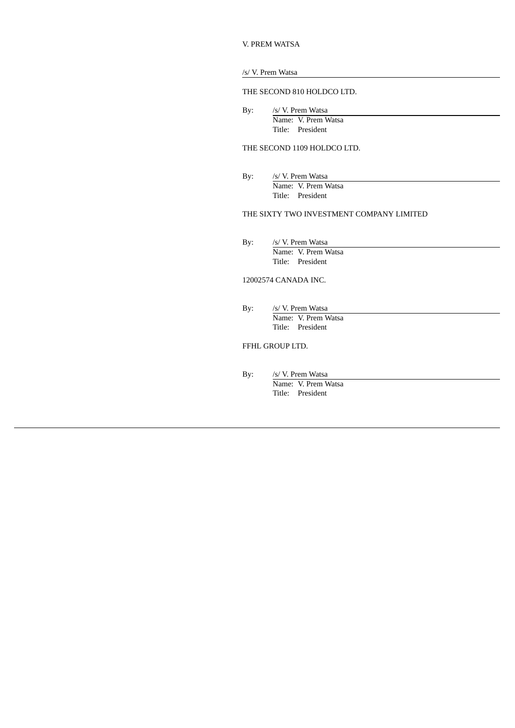|  |  |  | V. PREM WATSA |
|--|--|--|---------------|
|--|--|--|---------------|

#### /s/ V. Prem Watsa

#### THE SECOND 810 HOLDCO LTD.

By: /s/ V. Prem Watsa Name: V. Prem Watsa Title: President

#### THE SECOND 1109 HOLDCO LTD.

By: /s/ V. Prem Watsa Name: V. Prem Watsa Title: President

#### THE SIXTY TWO INVESTMENT COMPANY LIMITED

By: /s/ V. Prem Watsa Name: V. Prem Watsa Title: President

#### 12002574 CANADA INC.

By: /s/ V. Prem Watsa Name: V. Prem Watsa Title: President

FFHL GROUP LTD.

By: /s/ V. Prem Watsa Name: V. Prem Watsa Title: President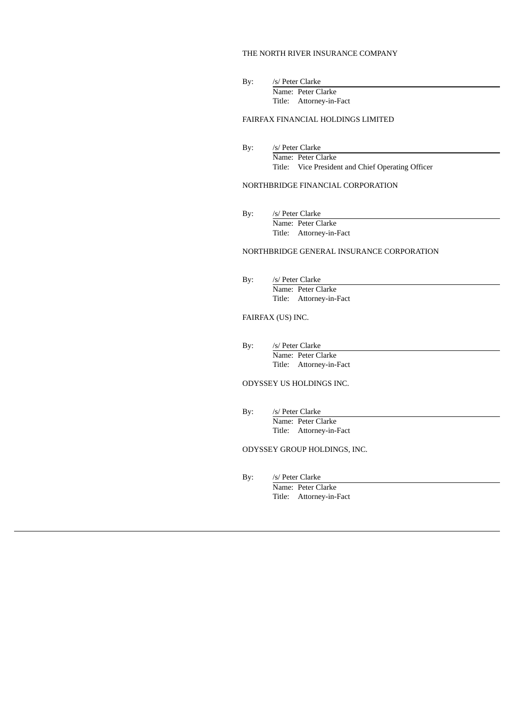#### THE NORTH RIVER INSURANCE COMPANY

By: /s/ Peter Clarke Name: Peter Clarke Title: Attorney-in-Fact

# FAIRFAX FINANCIAL HOLDINGS LIMITED

By: /s/ Peter Clarke Name: Peter Clarke Title: Vice President and Chief Operating Officer

#### NORTHBRIDGE FINANCIAL CORPORATION

By: /s/ Peter Clarke Name: Peter Clarke Title: Attorney-in-Fact

# NORTHBRIDGE GENERAL INSURANCE CORPORATION

By: /s/ Peter Clarke Name: Peter Clarke Title: Attorney-in-Fact

#### FAIRFAX (US) INC.

By: /s/ Peter Clarke Name: Peter Clarke Title: Attorney-in-Fact

#### ODYSSEY US HOLDINGS INC.

By: /s/ Peter Clarke Name: Peter Clarke Title: Attorney-in-Fact

# ODYSSEY GROUP HOLDINGS, INC.

By: /s/ Peter Clarke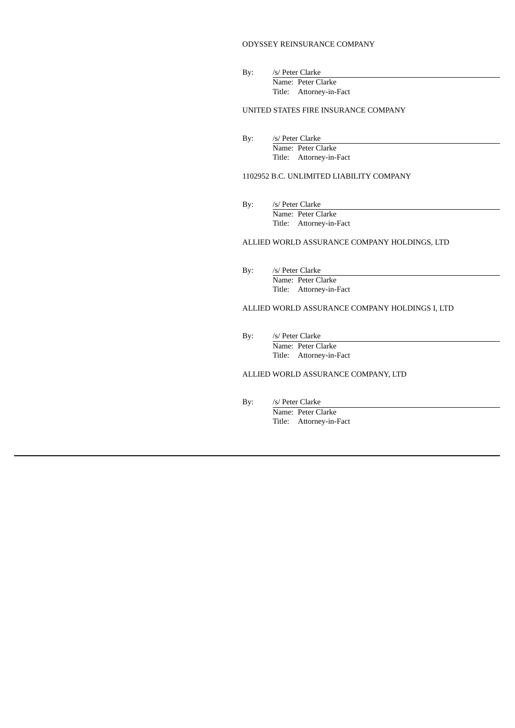#### ODYSSEY REINSURANCE COMPANY

By: /s/ Peter Clarke Name: Peter Clarke Title: Attorney-in-Fact

#### UNITED STATES FIRE INSURANCE COMPANY

By: /s/ Peter Clarke Name: Peter Clarke Title: Attorney-in-Fact

#### 1102952 B.C. UNLIMITED LIABILITY COMPANY

By: /s/ Peter Clarke Name: Peter Clarke Title: Attorney-in-Fact

#### ALLIED WORLD ASSURANCE COMPANY HOLDINGS, LTD

By: /s/ Peter Clarke Name: Peter Clarke Title: Attorney-in-Fact

# ALLIED WORLD ASSURANCE COMPANY HOLDINGS I, LTD

By: /s/ Peter Clarke Name: Peter Clarke Title: Attorney-in-Fact

#### ALLIED WORLD ASSURANCE COMPANY, LTD

By: /s/ Peter Clarke